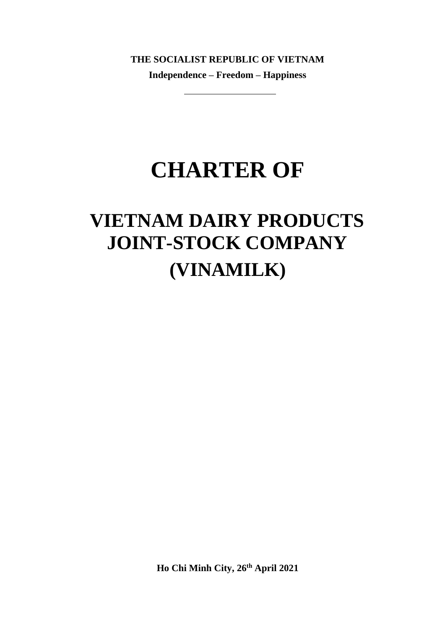**THE SOCIALIST REPUBLIC OF VIETNAM Independence – Freedom – Happiness** 

# **CHARTER OF**

# **VIETNAM DAIRY PRODUCTS JOINT-STOCK COMPANY (VINAMILK)**

**Ho Chi Minh City, 26th April 2021**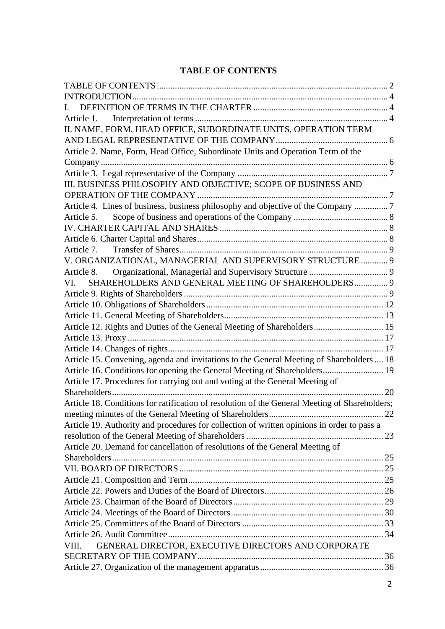## <span id="page-1-0"></span>**TABLE OF CONTENTS**

| L.                                                                                            |  |
|-----------------------------------------------------------------------------------------------|--|
|                                                                                               |  |
| II. NAME, FORM, HEAD OFFICE, SUBORDINATE UNITS, OPERATION TERM                                |  |
|                                                                                               |  |
| Article 2. Name, Form, Head Office, Subordinate Units and Operation Term of the               |  |
|                                                                                               |  |
|                                                                                               |  |
| III. BUSINESS PHILOSOPHY AND OBJECTIVE; SCOPE OF BUSINESS AND                                 |  |
|                                                                                               |  |
| Article 4. Lines of business, business philosophy and objective of the Company 7              |  |
| Article 5.                                                                                    |  |
|                                                                                               |  |
|                                                                                               |  |
| Article 7.                                                                                    |  |
| V. ORGANIZATIONAL, MANAGERIAL AND SUPERVISORY STRUCTURE  9                                    |  |
| Article 8.                                                                                    |  |
| SHAREHOLDERS AND GENERAL MEETING OF SHAREHOLDERS 9<br>VI.                                     |  |
|                                                                                               |  |
|                                                                                               |  |
|                                                                                               |  |
| Article 12. Rights and Duties of the General Meeting of Shareholders 15                       |  |
|                                                                                               |  |
|                                                                                               |  |
| Article 15. Convening, agenda and invitations to the General Meeting of Shareholders  18      |  |
| Article 16. Conditions for opening the General Meeting of Shareholders 19                     |  |
| Article 17. Procedures for carrying out and voting at the General Meeting of                  |  |
|                                                                                               |  |
| Article 18. Conditions for ratification of resolution of the General Meeting of Shareholders; |  |
|                                                                                               |  |
| Article 19. Authority and procedures for collection of written opinions in order to pass a    |  |
|                                                                                               |  |
| Article 20. Demand for cancellation of resolutions of the General Meeting of                  |  |
|                                                                                               |  |
|                                                                                               |  |
|                                                                                               |  |
|                                                                                               |  |
|                                                                                               |  |
|                                                                                               |  |
|                                                                                               |  |
|                                                                                               |  |
| GENERAL DIRECTOR, EXECUTIVE DIRECTORS AND CORPORATE<br>VIII.                                  |  |
|                                                                                               |  |
|                                                                                               |  |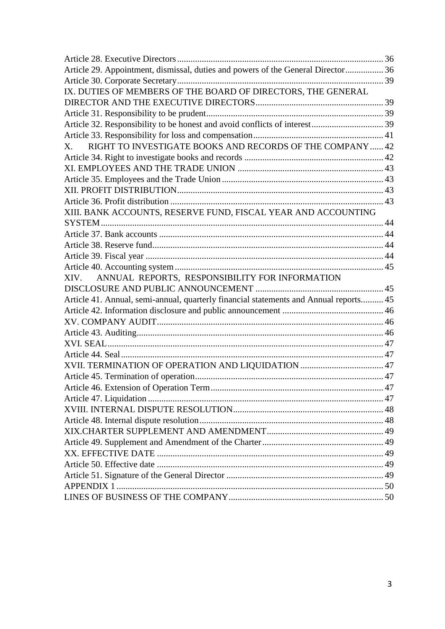| Article 29. Appointment, dismissal, duties and powers of the General Director 36      |  |
|---------------------------------------------------------------------------------------|--|
|                                                                                       |  |
| IX. DUTIES OF MEMBERS OF THE BOARD OF DIRECTORS, THE GENERAL                          |  |
|                                                                                       |  |
|                                                                                       |  |
|                                                                                       |  |
|                                                                                       |  |
| RIGHT TO INVESTIGATE BOOKS AND RECORDS OF THE COMPANY  42<br>$X_{-}$                  |  |
|                                                                                       |  |
|                                                                                       |  |
|                                                                                       |  |
|                                                                                       |  |
|                                                                                       |  |
| XIII. BANK ACCOUNTS, RESERVE FUND, FISCAL YEAR AND ACCOUNTING                         |  |
|                                                                                       |  |
|                                                                                       |  |
|                                                                                       |  |
|                                                                                       |  |
|                                                                                       |  |
| ANNUAL REPORTS, RESPONSIBILITY FOR INFORMATION<br>XIV.                                |  |
|                                                                                       |  |
| Article 41. Annual, semi-annual, quarterly financial statements and Annual reports 45 |  |
|                                                                                       |  |
|                                                                                       |  |
|                                                                                       |  |
|                                                                                       |  |
|                                                                                       |  |
|                                                                                       |  |
|                                                                                       |  |
|                                                                                       |  |
|                                                                                       |  |
|                                                                                       |  |
|                                                                                       |  |
|                                                                                       |  |
|                                                                                       |  |
|                                                                                       |  |
|                                                                                       |  |
|                                                                                       |  |
|                                                                                       |  |
|                                                                                       |  |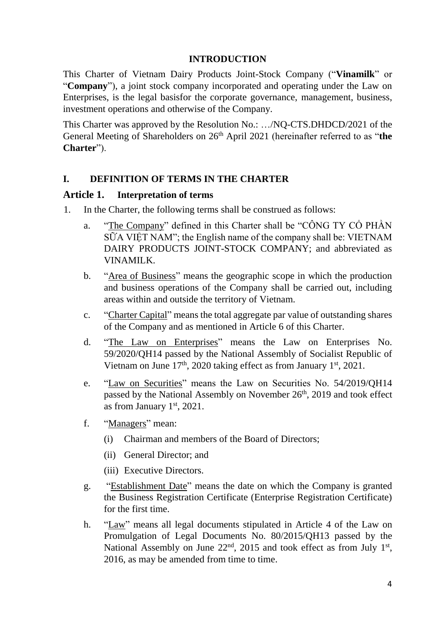#### **INTRODUCTION**

<span id="page-3-0"></span>This Charter of Vietnam Dairy Products Joint-Stock Company ("**Vinamilk**" or "**Company**"), a joint stock company incorporated and operating under the Law on Enterprises, is the legal basisfor the corporate governance, management, business, investment operations and otherwise of the Company.

This Charter was approved by the Resolution No.: …/NQ-CTS.DHDCD/2021 of the General Meeting of Shareholders on 26<sup>th</sup> April 2021 (hereinafter referred to as "the **Charter**").

#### <span id="page-3-1"></span>**I. DEFINITION OF TERMS IN THE CHARTER**

#### <span id="page-3-2"></span>**Article 1. Interpretation of terms**

- 1. In the Charter, the following terms shall be construed as follows:
	- a. "The Company" defined in this Charter shall be "CÔNG TY CỔ PHẦN SỮA VIỆT NAM"; the English name of the company shall be: VIETNAM DAIRY PRODUCTS JOINT-STOCK COMPANY; and abbreviated as VINAMILK.
	- b. "Area of Business" means the geographic scope in which the production and business operations of the Company shall be carried out, including areas within and outside the territory of Vietnam.
	- c. "Charter Capital" means the total aggregate par value of outstanding shares of the Company and as mentioned in Article 6 of this Charter.
	- d. "The Law on Enterprises" means the Law on Enterprises No. 59/2020/QH14 passed by the National Assembly of Socialist Republic of Vietnam on June 17<sup>th</sup>, 2020 taking effect as from January 1<sup>st</sup>, 2021.
	- e. "Law on Securities" means the Law on Securities No. 54/2019/QH14 passed by the National Assembly on November 26<sup>th</sup>, 2019 and took effect as from January  $1<sup>st</sup>$ , 2021.
	- f. "Managers" mean:
		- (i) Chairman and members of the Board of Directors;
		- (ii) General Director; and
		- (iii) Executive Directors.
	- g. "Establishment Date" means the date on which the Company is granted the Business Registration Certificate (Enterprise Registration Certificate) for the first time.
	- h. "Law" means all legal documents stipulated in Article 4 of the Law on Promulgation of Legal Documents No. 80/2015/QH13 passed by the National Assembly on June  $22<sup>nd</sup>$ , 2015 and took effect as from July  $1<sup>st</sup>$ , 2016, as may be amended from time to time.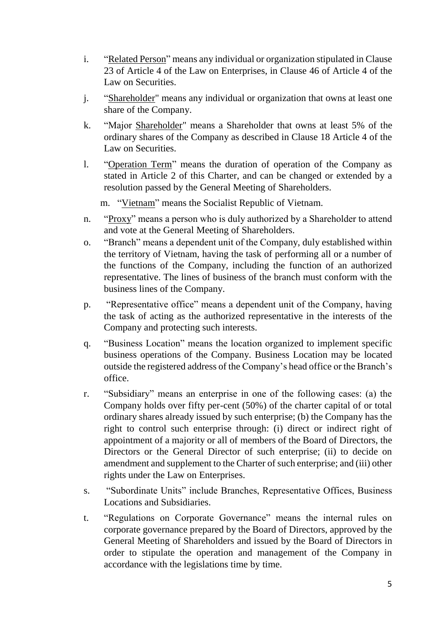- i. "Related Person" means any individual or organization stipulated in Clause 23 of Article 4 of the Law on Enterprises, in Clause 46 of Article 4 of the Law on Securities.
- j. "Shareholder" means any individual or organization that owns at least one share of the Company.
- k. "Major Shareholder" means a Shareholder that owns at least 5% of the ordinary shares of the Company as described in Clause 18 Article 4 of the Law on Securities.
- l. "Operation Term" means the duration of operation of the Company as stated in Article 2 of this Charter, and can be changed or extended by a resolution passed by the General Meeting of Shareholders.
	- m. "Vietnam" means the Socialist Republic of Vietnam.
- n. "Proxy" means a person who is duly authorized by a Shareholder to attend and vote at the General Meeting of Shareholders.
- o. "Branch" means a dependent unit of the Company, duly established within the territory of Vietnam, having the task of performing all or a number of the functions of the Company, including the function of an authorized representative. The lines of business of the branch must conform with the business lines of the Company.
- p. "Representative office" means a dependent unit of the Company, having the task of acting as the authorized representative in the interests of the Company and protecting such interests.
- q. "Business Location" means the location organized to implement specific business operations of the Company. Business Location may be located outside the registered address of the Company's head office or the Branch's office.
- r. "Subsidiary" means an enterprise in one of the following cases: (a) the Company holds over fifty per-cent (50%) of the charter capital of or total ordinary shares already issued by such enterprise; (b) the Company has the right to control such enterprise through: (i) direct or indirect right of appointment of a majority or all of members of the Board of Directors, the Directors or the General Director of such enterprise; (ii) to decide on amendment and supplement to the Charter of such enterprise; and (iii) other rights under the Law on Enterprises.
- s. "Subordinate Units" include Branches, Representative Offices, Business Locations and Subsidiaries.
- t. "Regulations on Corporate Governance" means the internal rules on corporate governance prepared by the Board of Directors, approved by the General Meeting of Shareholders and issued by the Board of Directors in order to stipulate the operation and management of the Company in accordance with the legislations time by time.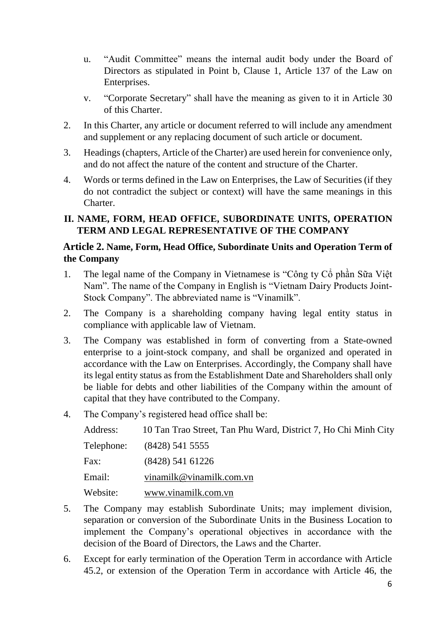- u. "Audit Committee" means the internal audit body under the Board of Directors as stipulated in Point b, Clause 1, Article 137 of the Law on Enterprises.
- v. "Corporate Secretary" shall have the meaning as given to it in Article 30 of this Charter.
- 2. In this Charter, any article or document referred to will include any amendment and supplement or any replacing document of such article or document.
- 3. Headings (chapters, Article of the Charter) are used herein for convenience only, and do not affect the nature of the content and structure of the Charter.
- 4. Words or terms defined in the Law on Enterprises, the Law of Securities (if they do not contradict the subject or context) will have the same meanings in this Charter.

# <span id="page-5-0"></span>**II. NAME, FORM, HEAD OFFICE, SUBORDINATE UNITS, OPERATION TERM AND LEGAL REPRESENTATIVE OF THE COMPANY**

## <span id="page-5-1"></span>**Article 2. Name, Form, Head Office, Subordinate Units and Operation Term of the Company**

- 1. The legal name of the Company in Vietnamese is "Công ty Cổ phần Sữa Việt Nam". The name of the Company in English is "Vietnam Dairy Products Joint-Stock Company". The abbreviated name is "Vinamilk".
- 2. The Company is a shareholding company having legal entity status in compliance with applicable law of Vietnam.
- 3. The Company was established in form of converting from a State-owned enterprise to a joint-stock company, and shall be organized and operated in accordance with the Law on Enterprises. Accordingly, the Company shall have its legal entity status as from the Establishment Date and Shareholders shall only be liable for debts and other liabilities of the Company within the amount of capital that they have contributed to the Company.
- 4. The Company's registered head office shall be:

| Address:   | 10 Tan Trao Street, Tan Phu Ward, District 7, Ho Chi Minh City |
|------------|----------------------------------------------------------------|
| Telephone: | $(8428)$ 541 5555                                              |
| Fax:       | $(8428)$ 541 61226                                             |
| Email:     | vinamilk@vinamilk.com.vn                                       |
| Website:   | www.vinamilk.com.vn                                            |

- 5. The Company may establish Subordinate Units; may implement division, separation or conversion of the Subordinate Units in the Business Location to implement the Company's operational objectives in accordance with the decision of the Board of Directors, the Laws and the Charter.
- 6. Except for early termination of the Operation Term in accordance with Article 45.2, or extension of the Operation Term in accordance with Article 46, the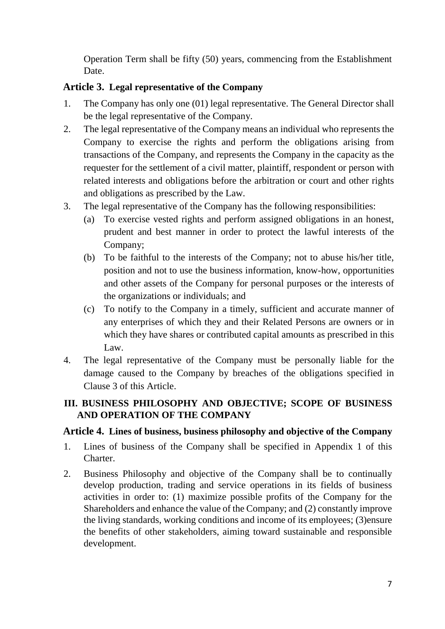Operation Term shall be fifty (50) years, commencing from the Establishment Date.

## <span id="page-6-0"></span>**Article 3. Legal representative of the Company**

- 1. The Company has only one (01) legal representative. The General Director shall be the legal representative of the Company.
- 2. The legal representative of the Company means an individual who represents the Company to exercise the rights and perform the obligations arising from transactions of the Company, and represents the Company in the capacity as the requester for the settlement of a civil matter, plaintiff, respondent or person with related interests and obligations before the arbitration or court and other rights and obligations as prescribed by the Law.
- 3. The legal representative of the Company has the following responsibilities:
	- (a) To exercise vested rights and perform assigned obligations in an honest, prudent and best manner in order to protect the lawful interests of the Company;
	- (b) To be faithful to the interests of the Company; not to abuse his/her title, position and not to use the business information, know-how, opportunities and other assets of the Company for personal purposes or the interests of the organizations or individuals; and
	- (c) To notify to the Company in a timely, sufficient and accurate manner of any enterprises of which they and their Related Persons are owners or in which they have shares or contributed capital amounts as prescribed in this Law.
- 4. The legal representative of the Company must be personally liable for the damage caused to the Company by breaches of the obligations specified in Clause 3 of this Article.

# <span id="page-6-1"></span>**III. BUSINESS PHILOSOPHY AND OBJECTIVE; SCOPE OF BUSINESS AND OPERATION OF THE COMPANY**

# <span id="page-6-2"></span>**Article 4. Lines of business, business philosophy and objective of the Company**

- 1. Lines of business of the Company shall be specified in Appendix 1 of this Charter.
- 2. Business Philosophy and objective of the Company shall be to continually develop production, trading and service operations in its fields of business activities in order to: (1) maximize possible profits of the Company for the Shareholders and enhance the value of the Company; and (2) constantly improve the living standards, working conditions and income of its employees; (3)ensure the benefits of other stakeholders, aiming toward sustainable and responsible development.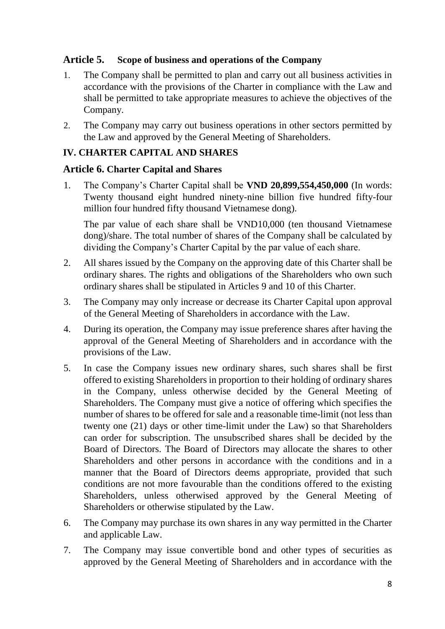#### <span id="page-7-0"></span>**Article 5. Scope of business and operations of the Company**

- 1. The Company shall be permitted to plan and carry out all business activities in accordance with the provisions of the Charter in compliance with the Law and shall be permitted to take appropriate measures to achieve the objectives of the Company.
- 2. The Company may carry out business operations in other sectors permitted by the Law and approved by the General Meeting of Shareholders.

#### <span id="page-7-1"></span>**IV. CHARTER CAPITAL AND SHARES**

#### <span id="page-7-2"></span>**Article 6. Charter Capital and Shares**

1. The Company's Charter Capital shall be **VND 20,899,554,450,000** (In words: Twenty thousand eight hundred ninety-nine billion five hundred fifty-four million four hundred fifty thousand Vietnamese dong).

The par value of each share shall be VND10,000 (ten thousand Vietnamese dong)/share. The total number of shares of the Company shall be calculated by dividing the Company's Charter Capital by the par value of each share.

- 2. All shares issued by the Company on the approving date of this Charter shall be ordinary shares. The rights and obligations of the Shareholders who own such ordinary shares shall be stipulated in Articles 9 and 10 of this Charter.
- 3. The Company may only increase or decrease its Charter Capital upon approval of the General Meeting of Shareholders in accordance with the Law.
- 4. During its operation, the Company may issue preference shares after having the approval of the General Meeting of Shareholders and in accordance with the provisions of the Law.
- 5. In case the Company issues new ordinary shares, such shares shall be first offered to existing Shareholders in proportion to their holding of ordinary shares in the Company, unless otherwise decided by the General Meeting of Shareholders. The Company must give a notice of offering which specifies the number of shares to be offered for sale and a reasonable time-limit (not less than twenty one (21) days or other time-limit under the Law) so that Shareholders can order for subscription. The unsubscribed shares shall be decided by the Board of Directors. The Board of Directors may allocate the shares to other Shareholders and other persons in accordance with the conditions and in a manner that the Board of Directors deems appropriate, provided that such conditions are not more favourable than the conditions offered to the existing Shareholders, unless otherwised approved by the General Meeting of Shareholders or otherwise stipulated by the Law.
- 6. The Company may purchase its own shares in any way permitted in the Charter and applicable Law.
- 7. The Company may issue convertible bond and other types of securities as approved by the General Meeting of Shareholders and in accordance with the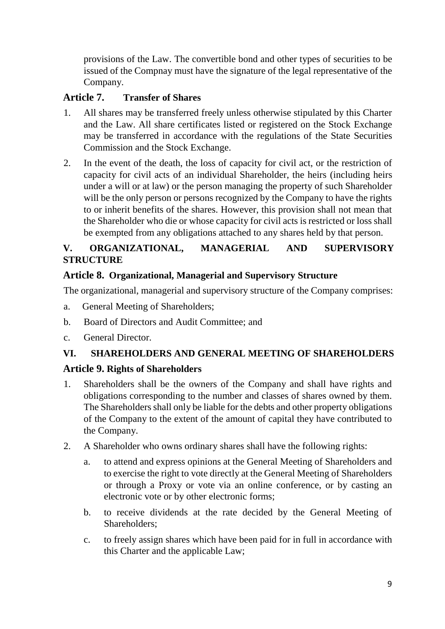provisions of the Law. The convertible bond and other types of securities to be issued of the Compnay must have the signature of the legal representative of the Company.

# <span id="page-8-0"></span>**Article 7. Transfer of Shares**

- 1. All shares may be transferred freely unless otherwise stipulated by this Charter and the Law. All share certificates listed or registered on the Stock Exchange may be transferred in accordance with the regulations of the State Securities Commission and the Stock Exchange.
- 2. In the event of the death, the loss of capacity for civil act, or the restriction of capacity for civil acts of an individual Shareholder, the heirs (including heirs under a will or at law) or the person managing the property of such Shareholder will be the only person or persons recognized by the Company to have the rights to or inherit benefits of the shares. However, this provision shall not mean that the Shareholder who die or whose capacity for civil acts is restricted or loss shall be exempted from any obligations attached to any shares held by that person.

# <span id="page-8-1"></span>**V. ORGANIZATIONAL, MANAGERIAL AND SUPERVISORY STRUCTURE**

## <span id="page-8-2"></span>**Article 8. Organizational, Managerial and Supervisory Structure**

The organizational, managerial and supervisory structure of the Company comprises:

- a. General Meeting of Shareholders;
- b. Board of Directors and Audit Committee; and
- c. General Director.

# <span id="page-8-3"></span>**VI. SHAREHOLDERS AND GENERAL MEETING OF SHAREHOLDERS**

## <span id="page-8-4"></span>**Article 9. Rights of Shareholders**

- 1. Shareholders shall be the owners of the Company and shall have rights and obligations corresponding to the number and classes of shares owned by them. The Shareholders shall only be liable for the debts and other property obligations of the Company to the extent of the amount of capital they have contributed to the Company.
- 2. A Shareholder who owns ordinary shares shall have the following rights:
	- a. to attend and express opinions at the General Meeting of Shareholders and to exercise the right to vote directly at the General Meeting of Shareholders or through a Proxy or vote via an online conference, or by casting an electronic vote or by other electronic forms;
	- b. to receive dividends at the rate decided by the General Meeting of Shareholders;
	- c. to freely assign shares which have been paid for in full in accordance with this Charter and the applicable Law;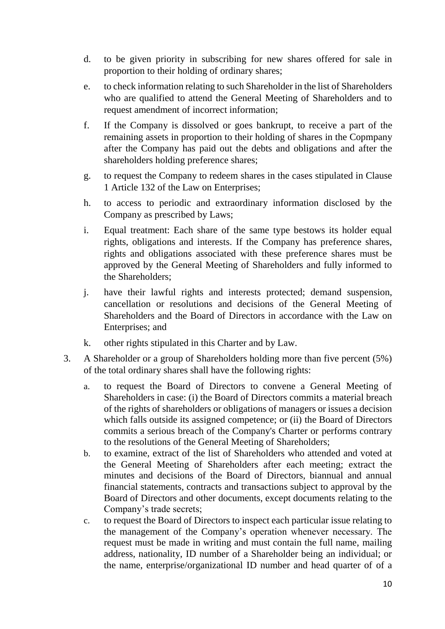- d. to be given priority in subscribing for new shares offered for sale in proportion to their holding of ordinary shares;
- e. to check information relating to such Shareholder in the list of Shareholders who are qualified to attend the General Meeting of Shareholders and to request amendment of incorrect information;
- f. If the Company is dissolved or goes bankrupt, to receive a part of the remaining assets in proportion to their holding of shares in the Copmpany after the Company has paid out the debts and obligations and after the shareholders holding preference shares;
- g. to request the Company to redeem shares in the cases stipulated in Clause 1 Article 132 of the Law on Enterprises;
- h. to access to periodic and extraordinary information disclosed by the Company as prescribed by Laws;
- i. Equal treatment: Each share of the same type bestows its holder equal rights, obligations and interests. If the Company has preference shares, rights and obligations associated with these preference shares must be approved by the General Meeting of Shareholders and fully informed to the Shareholders;
- j. have their lawful rights and interests protected; demand suspension, cancellation or resolutions and decisions of the General Meeting of Shareholders and the Board of Directors in accordance with the Law on Enterprises; and
- k. other rights stipulated in this Charter and by Law.
- 3. A Shareholder or a group of Shareholders holding more than five percent (5%) of the total ordinary shares shall have the following rights:
	- a. to request the Board of Directors to convene a General Meeting of Shareholders in case: (i) the Board of Directors commits a material breach of the rights of shareholders or obligations of managers or issues a decision which falls outside its assigned competence; or (ii) the Board of Directors commits a serious breach of the Company's Charter or performs contrary to the resolutions of the General Meeting of Shareholders;
	- b. to examine, extract of the list of Shareholders who attended and voted at the General Meeting of Shareholders after each meeting; extract the minutes and decisions of the Board of Directors, biannual and annual financial statements, contracts and transactions subject to approval by the Board of Directors and other documents, except documents relating to the Company's trade secrets;
	- c. to request the Board of Directors to inspect each particular issue relating to the management of the Company's operation whenever necessary. The request must be made in writing and must contain the full name, mailing address, nationality, ID number of a Shareholder being an individual; or the name, enterprise/organizational ID number and head quarter of of a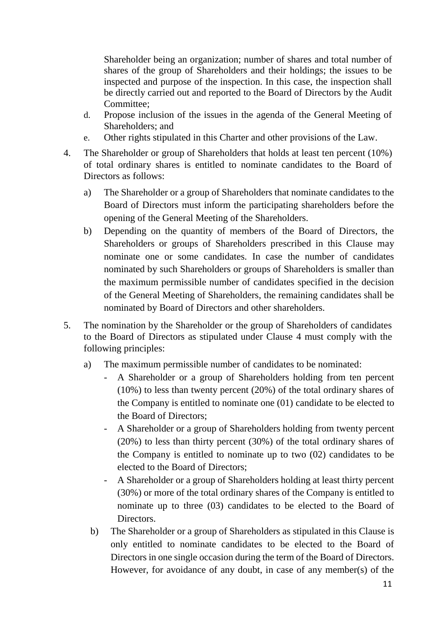Shareholder being an organization; number of shares and total number of shares of the group of Shareholders and their holdings; the issues to be inspected and purpose of the inspection. In this case, the inspection shall be directly carried out and reported to the Board of Directors by the Audit Committee;

- d. Propose inclusion of the issues in the agenda of the General Meeting of Shareholders; and
- e. Other rights stipulated in this Charter and other provisions of the Law.
- 4. The Shareholder or group of Shareholders that holds at least ten percent (10%) of total ordinary shares is entitled to nominate candidates to the Board of Directors as follows:
	- a) The Shareholder or a group of Shareholders that nominate candidates to the Board of Directors must inform the participating shareholders before the opening of the General Meeting of the Shareholders.
	- b) Depending on the quantity of members of the Board of Directors, the Shareholders or groups of Shareholders prescribed in this Clause may nominate one or some candidates. In case the number of candidates nominated by such Shareholders or groups of Shareholders is smaller than the maximum permissible number of candidates specified in the decision of the General Meeting of Shareholders, the remaining candidates shall be nominated by Board of Directors and other shareholders.
- 5. The nomination by the Shareholder or the group of Shareholders of candidates to the Board of Directors as stipulated under Clause 4 must comply with the following principles:
	- a) The maximum permissible number of candidates to be nominated:
		- A Shareholder or a group of Shareholders holding from ten percent (10%) to less than twenty percent (20%) of the total ordinary shares of the Company is entitled to nominate one (01) candidate to be elected to the Board of Directors;
		- A Shareholder or a group of Shareholders holding from twenty percent (20%) to less than thirty percent (30%) of the total ordinary shares of the Company is entitled to nominate up to two (02) candidates to be elected to the Board of Directors;
		- A Shareholder or a group of Shareholders holding at least thirty percent (30%) or more of the total ordinary shares of the Company is entitled to nominate up to three (03) candidates to be elected to the Board of Directors.
		- b) The Shareholder or a group of Shareholders as stipulated in this Clause is only entitled to nominate candidates to be elected to the Board of Directors in one single occasion during the term of the Board of Directors. However, for avoidance of any doubt, in case of any member(s) of the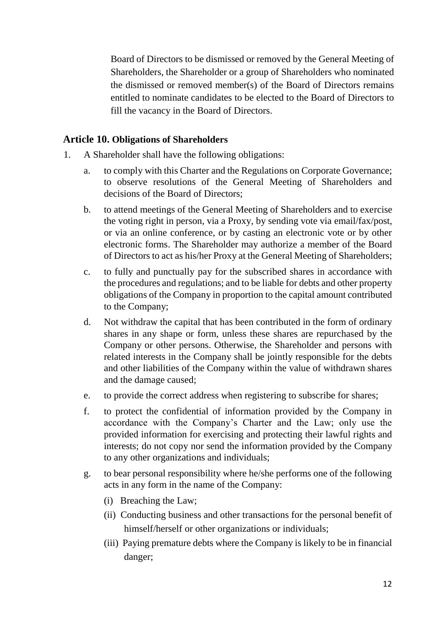Board of Directors to be dismissed or removed by the General Meeting of Shareholders, the Shareholder or a group of Shareholders who nominated the dismissed or removed member(s) of the Board of Directors remains entitled to nominate candidates to be elected to the Board of Directors to fill the vacancy in the Board of Directors.

#### <span id="page-11-0"></span>**Article 10. Obligations of Shareholders**

- 1. A Shareholder shall have the following obligations:
	- a. to comply with this Charter and the Regulations on Corporate Governance; to observe resolutions of the General Meeting of Shareholders and decisions of the Board of Directors;
	- b. to attend meetings of the General Meeting of Shareholders and to exercise the voting right in person, via a Proxy, by sending vote via email/fax/post, or via an online conference, or by casting an electronic vote or by other electronic forms. The Shareholder may authorize a member of the Board of Directors to act as his/her Proxy at the General Meeting of Shareholders;
	- c. to fully and punctually pay for the subscribed shares in accordance with the procedures and regulations; and to be liable for debts and other property obligations of the Company in proportion to the capital amount contributed to the Company;
	- d. Not withdraw the capital that has been contributed in the form of ordinary shares in any shape or form, unless these shares are repurchased by the Company or other persons. Otherwise, the Shareholder and persons with related interests in the Company shall be jointly responsible for the debts and other liabilities of the Company within the value of withdrawn shares and the damage caused;
	- e. to provide the correct address when registering to subscribe for shares;
	- f. to protect the confidential of information provided by the Company in accordance with the Company's Charter and the Law; only use the provided information for exercising and protecting their lawful rights and interests; do not copy nor send the information provided by the Company to any other organizations and individuals;
	- g. to bear personal responsibility where he/she performs one of the following acts in any form in the name of the Company:
		- (i) Breaching the Law;
		- (ii) Conducting business and other transactions for the personal benefit of himself/herself or other organizations or individuals;
		- (iii) Paying premature debts where the Company is likely to be in financial danger;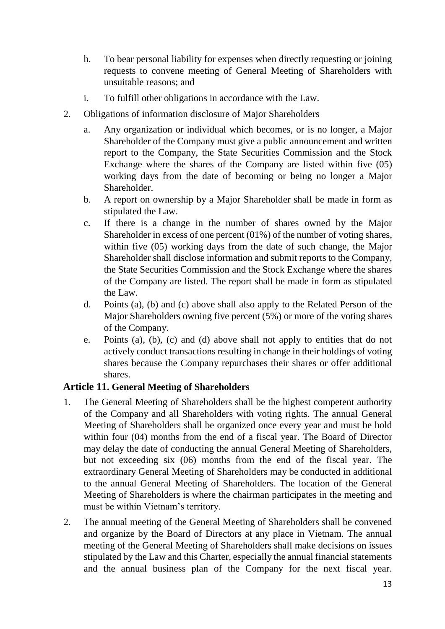- h. To bear personal liability for expenses when directly requesting or joining requests to convene meeting of General Meeting of Shareholders with unsuitable reasons; and
- i. To fulfill other obligations in accordance with the Law.
- 2. Obligations of information disclosure of Major Shareholders
	- a. Any organization or individual which becomes, or is no longer, a Major Shareholder of the Company must give a public announcement and written report to the Company, the State Securities Commission and the Stock Exchange where the shares of the Company are listed within five (05) working days from the date of becoming or being no longer a Major Shareholder.
	- b. A report on ownership by a Major Shareholder shall be made in form as stipulated the Law.
	- c. If there is a change in the number of shares owned by the Major Shareholder in excess of one percent (01%) of the number of voting shares, within five (05) working days from the date of such change, the Major Shareholder shall disclose information and submit reports to the Company, the State Securities Commission and the Stock Exchange where the shares of the Company are listed. The report shall be made in form as stipulated the Law.
	- d. Points (a), (b) and (c) above shall also apply to the Related Person of the Major Shareholders owning five percent (5%) or more of the voting shares of the Company.
	- e. Points (a), (b), (c) and (d) above shall not apply to entities that do not actively conduct transactions resulting in change in their holdings of voting shares because the Company repurchases their shares or offer additional shares.

## <span id="page-12-0"></span>**Article 11. General Meeting of Shareholders**

- 1. The General Meeting of Shareholders shall be the highest competent authority of the Company and all Shareholders with voting rights. The annual General Meeting of Shareholders shall be organized once every year and must be hold within four (04) months from the end of a fiscal year. The Board of Director may delay the date of conducting the annual General Meeting of Shareholders, but not exceeding six (06) months from the end of the fiscal year. The extraordinary General Meeting of Shareholders may be conducted in additional to the annual General Meeting of Shareholders. The location of the General Meeting of Shareholders is where the chairman participates in the meeting and must be within Vietnam's territory.
- 2. The annual meeting of the General Meeting of Shareholders shall be convened and organize by the Board of Directors at any place in Vietnam. The annual meeting of the General Meeting of Shareholders shall make decisions on issues stipulated by the Law and this Charter, especially the annual financial statements and the annual business plan of the Company for the next fiscal year.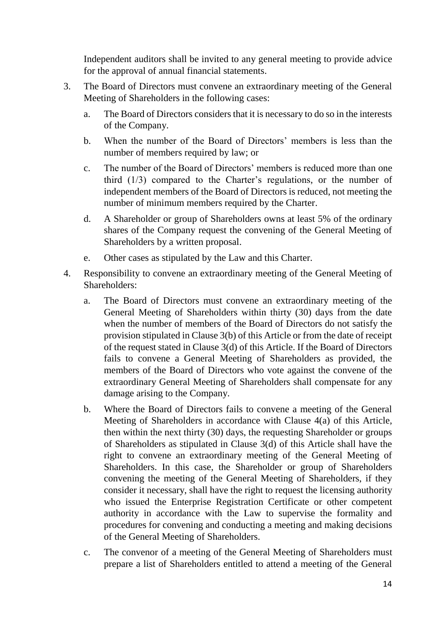Independent auditors shall be invited to any general meeting to provide advice for the approval of annual financial statements.

- 3. The Board of Directors must convene an extraordinary meeting of the General Meeting of Shareholders in the following cases:
	- a. The Board of Directors considers that it is necessary to do so in the interests of the Company.
	- b. When the number of the Board of Directors' members is less than the number of members required by law; or
	- c. The number of the Board of Directors' members is reduced more than one third (1/3) compared to the Charter's regulations, or the number of independent members of the Board of Directors is reduced, not meeting the number of minimum members required by the Charter.
	- d. A Shareholder or group of Shareholders owns at least 5% of the ordinary shares of the Company request the convening of the General Meeting of Shareholders by a written proposal.
	- e. Other cases as stipulated by the Law and this Charter.
- 4. Responsibility to convene an extraordinary meeting of the General Meeting of Shareholders:
	- a. The Board of Directors must convene an extraordinary meeting of the General Meeting of Shareholders within thirty (30) days from the date when the number of members of the Board of Directors do not satisfy the provision stipulated in Clause 3(b) of this Article or from the date of receipt of the request stated in Clause 3(d) of this Article. If the Board of Directors fails to convene a General Meeting of Shareholders as provided, the members of the Board of Directors who vote against the convene of the extraordinary General Meeting of Shareholders shall compensate for any damage arising to the Company.
	- b. Where the Board of Directors fails to convene a meeting of the General Meeting of Shareholders in accordance with Clause 4(a) of this Article, then within the next thirty (30) days, the requesting Shareholder or groups of Shareholders as stipulated in Clause 3(d) of this Article shall have the right to convene an extraordinary meeting of the General Meeting of Shareholders. In this case, the Shareholder or group of Shareholders convening the meeting of the General Meeting of Shareholders, if they consider it necessary, shall have the right to request the licensing authority who issued the Enterprise Registration Certificate or other competent authority in accordance with the Law to supervise the formality and procedures for convening and conducting a meeting and making decisions of the General Meeting of Shareholders.
	- c. The convenor of a meeting of the General Meeting of Shareholders must prepare a list of Shareholders entitled to attend a meeting of the General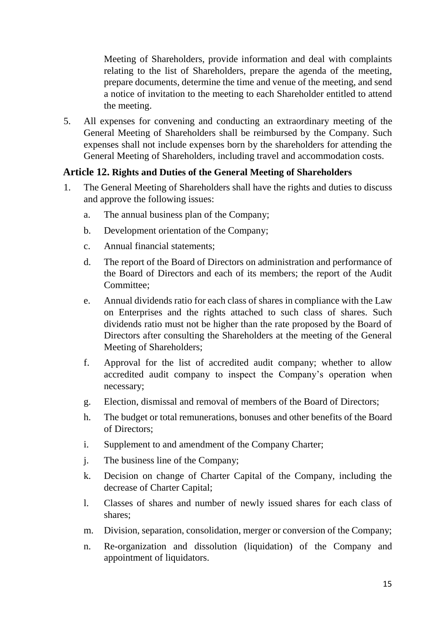Meeting of Shareholders, provide information and deal with complaints relating to the list of Shareholders, prepare the agenda of the meeting, prepare documents, determine the time and venue of the meeting, and send a notice of invitation to the meeting to each Shareholder entitled to attend the meeting.

5. All expenses for convening and conducting an extraordinary meeting of the General Meeting of Shareholders shall be reimbursed by the Company. Such expenses shall not include expenses born by the shareholders for attending the General Meeting of Shareholders, including travel and accommodation costs.

## <span id="page-14-0"></span>**Article 12. Rights and Duties of the General Meeting of Shareholders**

- 1. The General Meeting of Shareholders shall have the rights and duties to discuss and approve the following issues:
	- a. The annual business plan of the Company;
	- b. Development orientation of the Company;
	- c. Annual financial statements;
	- d. The report of the Board of Directors on administration and performance of the Board of Directors and each of its members; the report of the Audit Committee;
	- e. Annual dividends ratio for each class of shares in compliance with the Law on Enterprises and the rights attached to such class of shares. Such dividends ratio must not be higher than the rate proposed by the Board of Directors after consulting the Shareholders at the meeting of the General Meeting of Shareholders;
	- f. Approval for the list of accredited audit company; whether to allow accredited audit company to inspect the Company's operation when necessary;
	- g. Election, dismissal and removal of members of the Board of Directors;
	- h. The budget or total remunerations, bonuses and other benefits of the Board of Directors;
	- i. Supplement to and amendment of the Company Charter;
	- j. The business line of the Company;
	- k. Decision on change of Charter Capital of the Company, including the decrease of Charter Capital;
	- l. Classes of shares and number of newly issued shares for each class of shares;
	- m. Division, separation, consolidation, merger or conversion of the Company;
	- n. Re-organization and dissolution (liquidation) of the Company and appointment of liquidators.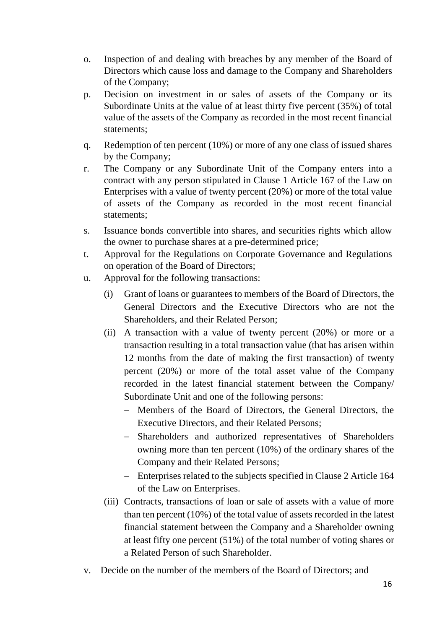- o. Inspection of and dealing with breaches by any member of the Board of Directors which cause loss and damage to the Company and Shareholders of the Company;
- p. Decision on investment in or sales of assets of the Company or its Subordinate Units at the value of at least thirty five percent (35%) of total value of the assets of the Company as recorded in the most recent financial statements;
- q. Redemption of ten percent (10%) or more of any one class of issued shares by the Company;
- r. The Company or any Subordinate Unit of the Company enters into a contract with any person stipulated in Clause 1 Article 167 of the Law on Enterprises with a value of twenty percent (20%) or more of the total value of assets of the Company as recorded in the most recent financial statements;
- s. Issuance bonds convertible into shares, and securities rights which allow the owner to purchase shares at a pre-determined price;
- t. Approval for the Regulations on Corporate Governance and Regulations on operation of the Board of Directors;
- u. Approval for the following transactions:
	- (i) Grant of loans or guarantees to members of the Board of Directors, the General Directors and the Executive Directors who are not the Shareholders, and their Related Person;
	- (ii) A transaction with a value of twenty percent (20%) or more or a transaction resulting in a total transaction value (that has arisen within 12 months from the date of making the first transaction) of twenty percent (20%) or more of the total asset value of the Company recorded in the latest financial statement between the Company/ Subordinate Unit and one of the following persons:
		- − Members of the Board of Directors, the General Directors, the Executive Directors, and their Related Persons;
		- − Shareholders and authorized representatives of Shareholders owning more than ten percent (10%) of the ordinary shares of the Company and their Related Persons;
		- − Enterprises related to the subjects specified in Clause 2 Article 164 of the Law on Enterprises.
	- (iii) Contracts, transactions of loan or sale of assets with a value of more than ten percent (10%) of the total value of assets recorded in the latest financial statement between the Company and a Shareholder owning at least fifty one percent (51%) of the total number of voting shares or a Related Person of such Shareholder.
- v. Decide on the number of the members of the Board of Directors; and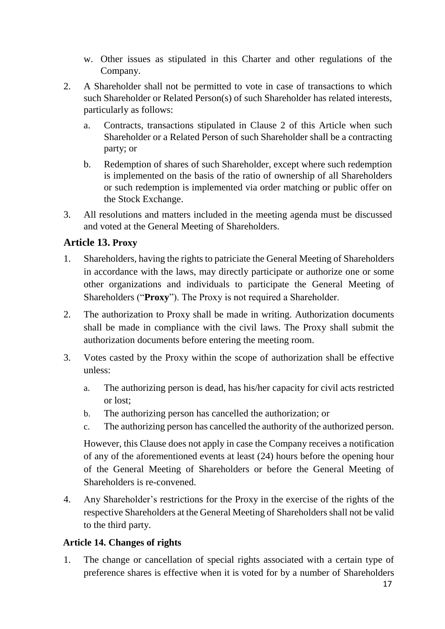- w. Other issues as stipulated in this Charter and other regulations of the Company.
- 2. A Shareholder shall not be permitted to vote in case of transactions to which such Shareholder or Related Person(s) of such Shareholder has related interests, particularly as follows:
	- a. Contracts, transactions stipulated in Clause 2 of this Article when such Shareholder or a Related Person of such Shareholder shall be a contracting party; or
	- b. Redemption of shares of such Shareholder, except where such redemption is implemented on the basis of the ratio of ownership of all Shareholders or such redemption is implemented via order matching or public offer on the Stock Exchange.
- 3. All resolutions and matters included in the meeting agenda must be discussed and voted at the General Meeting of Shareholders.

# <span id="page-16-0"></span>**Article 13. Proxy**

- 1. Shareholders, having the rights to patriciate the General Meeting of Shareholders in accordance with the laws, may directly participate or authorize one or some other organizations and individuals to participate the General Meeting of Shareholders ("**Proxy**"). The Proxy is not required a Shareholder.
- 2. The authorization to Proxy shall be made in writing. Authorization documents shall be made in compliance with the civil laws. The Proxy shall submit the authorization documents before entering the meeting room.
- 3. Votes casted by the Proxy within the scope of authorization shall be effective unless:
	- a. The authorizing person is dead, has his/her capacity for civil acts restricted or lost;
	- b. The authorizing person has cancelled the authorization; or
	- c. The authorizing person has cancelled the authority of the authorized person.

However, this Clause does not apply in case the Company receives a notification of any of the aforementioned events at least (24) hours before the opening hour of the General Meeting of Shareholders or before the General Meeting of Shareholders is re-convened.

4. Any Shareholder's restrictions for the Proxy in the exercise of the rights of the respective Shareholders at the General Meeting of Shareholders shall not be valid to the third party.

## <span id="page-16-1"></span>**Article 14. Changes of rights**

1. The change or cancellation of special rights associated with a certain type of preference shares is effective when it is voted for by a number of Shareholders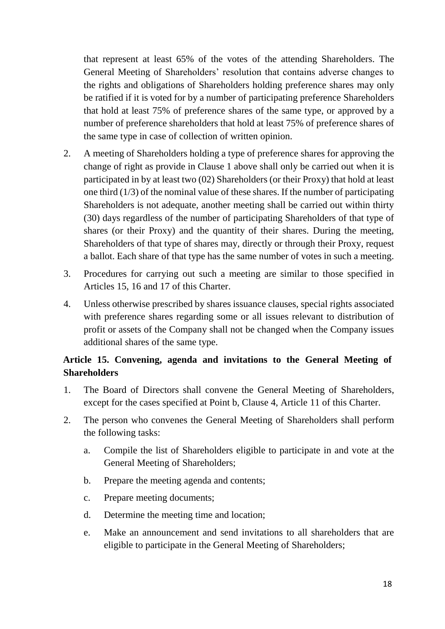that represent at least 65% of the votes of the attending Shareholders. The General Meeting of Shareholders' resolution that contains adverse changes to the rights and obligations of Shareholders holding preference shares may only be ratified if it is voted for by a number of participating preference Shareholders that hold at least 75% of preference shares of the same type, or approved by a number of preference shareholders that hold at least 75% of preference shares of the same type in case of collection of written opinion.

- 2. A meeting of Shareholders holding a type of preference shares for approving the change of right as provide in Clause 1 above shall only be carried out when it is participated in by at least two (02) Shareholders (or their Proxy) that hold at least one third (1/3) of the nominal value of these shares. If the number of participating Shareholders is not adequate, another meeting shall be carried out within thirty (30) days regardless of the number of participating Shareholders of that type of shares (or their Proxy) and the quantity of their shares. During the meeting, Shareholders of that type of shares may, directly or through their Proxy, request a ballot. Each share of that type has the same number of votes in such a meeting.
- 3. Procedures for carrying out such a meeting are similar to those specified in Articles 15, 16 and 17 of this Charter.
- 4. Unless otherwise prescribed by shares issuance clauses, special rights associated with preference shares regarding some or all issues relevant to distribution of profit or assets of the Company shall not be changed when the Company issues additional shares of the same type.

# <span id="page-17-0"></span>**Article 15. Convening, agenda and invitations to the General Meeting of Shareholders**

- 1. The Board of Directors shall convene the General Meeting of Shareholders, except for the cases specified at Point b, Clause 4, Article 11 of this Charter.
- 2. The person who convenes the General Meeting of Shareholders shall perform the following tasks:
	- a. Compile the list of Shareholders eligible to participate in and vote at the General Meeting of Shareholders;
	- b. Prepare the meeting agenda and contents;
	- c. Prepare meeting documents;
	- d. Determine the meeting time and location;
	- e. Make an announcement and send invitations to all shareholders that are eligible to participate in the General Meeting of Shareholders;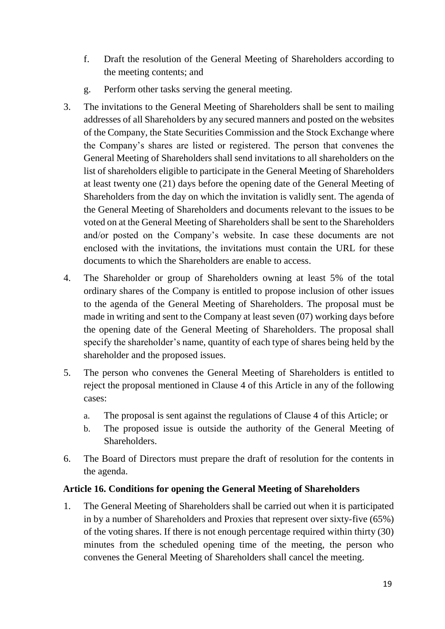- f. Draft the resolution of the General Meeting of Shareholders according to the meeting contents; and
- g. Perform other tasks serving the general meeting.
- 3. The invitations to the General Meeting of Shareholders shall be sent to mailing addresses of all Shareholders by any secured manners and posted on the websites of the Company, the State Securities Commission and the Stock Exchange where the Company's shares are listed or registered. The person that convenes the General Meeting of Shareholders shall send invitations to all shareholders on the list of shareholders eligible to participate in the General Meeting of Shareholders at least twenty one (21) days before the opening date of the General Meeting of Shareholders from the day on which the invitation is validly sent. The agenda of the General Meeting of Shareholders and documents relevant to the issues to be voted on at the General Meeting of Shareholders shall be sent to the Shareholders and/or posted on the Company's website. In case these documents are not enclosed with the invitations, the invitations must contain the URL for these documents to which the Shareholders are enable to access.
- 4. The Shareholder or group of Shareholders owning at least 5% of the total ordinary shares of the Company is entitled to propose inclusion of other issues to the agenda of the General Meeting of Shareholders. The proposal must be made in writing and sent to the Company at least seven (07) working days before the opening date of the General Meeting of Shareholders. The proposal shall specify the shareholder's name, quantity of each type of shares being held by the shareholder and the proposed issues.
- 5. The person who convenes the General Meeting of Shareholders is entitled to reject the proposal mentioned in Clause 4 of this Article in any of the following cases:
	- a. The proposal is sent against the regulations of Clause 4 of this Article; or
	- b. The proposed issue is outside the authority of the General Meeting of Shareholders.
- 6. The Board of Directors must prepare the draft of resolution for the contents in the agenda.

#### <span id="page-18-0"></span>**Article 16. Conditions for opening the General Meeting of Shareholders**

1. The General Meeting of Shareholders shall be carried out when it is participated in by a number of Shareholders and Proxies that represent over sixty-five (65%) of the voting shares. If there is not enough percentage required within thirty (30) minutes from the scheduled opening time of the meeting, the person who convenes the General Meeting of Shareholders shall cancel the meeting.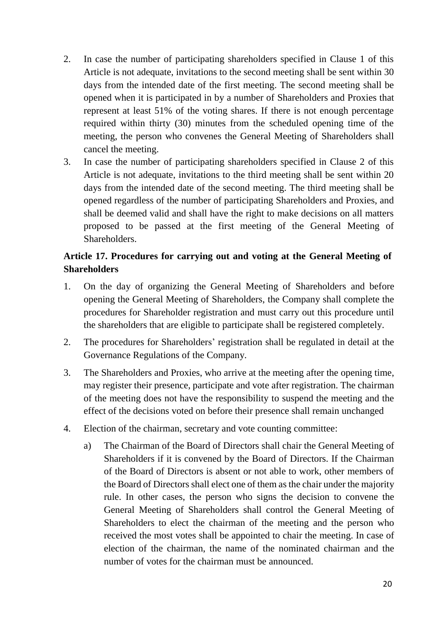- 2. In case the number of participating shareholders specified in Clause 1 of this Article is not adequate, invitations to the second meeting shall be sent within 30 days from the intended date of the first meeting. The second meeting shall be opened when it is participated in by a number of Shareholders and Proxies that represent at least 51% of the voting shares. If there is not enough percentage required within thirty (30) minutes from the scheduled opening time of the meeting, the person who convenes the General Meeting of Shareholders shall cancel the meeting.
- 3. In case the number of participating shareholders specified in Clause 2 of this Article is not adequate, invitations to the third meeting shall be sent within 20 days from the intended date of the second meeting. The third meeting shall be opened regardless of the number of participating Shareholders and Proxies, and shall be deemed valid and shall have the right to make decisions on all matters proposed to be passed at the first meeting of the General Meeting of Shareholders.

# <span id="page-19-0"></span>**Article 17. Procedures for carrying out and voting at the General Meeting of Shareholders**

- 1. On the day of organizing the General Meeting of Shareholders and before opening the General Meeting of Shareholders, the Company shall complete the procedures for Shareholder registration and must carry out this procedure until the shareholders that are eligible to participate shall be registered completely.
- 2. The procedures for Shareholders' registration shall be regulated in detail at the Governance Regulations of the Company.
- 3. The Shareholders and Proxies, who arrive at the meeting after the opening time, may register their presence, participate and vote after registration. The chairman of the meeting does not have the responsibility to suspend the meeting and the effect of the decisions voted on before their presence shall remain unchanged
- 4. Election of the chairman, secretary and vote counting committee:
	- a) The Chairman of the Board of Directors shall chair the General Meeting of Shareholders if it is convened by the Board of Directors. If the Chairman of the Board of Directors is absent or not able to work, other members of the Board of Directors shall elect one of them as the chair under the majority rule. In other cases, the person who signs the decision to convene the General Meeting of Shareholders shall control the General Meeting of Shareholders to elect the chairman of the meeting and the person who received the most votes shall be appointed to chair the meeting. In case of election of the chairman, the name of the nominated chairman and the number of votes for the chairman must be announced.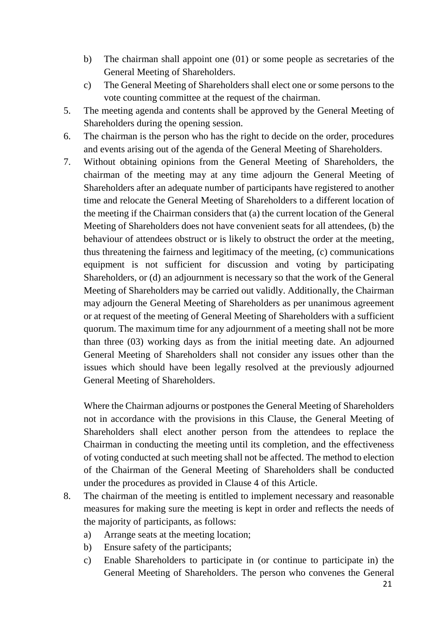- b) The chairman shall appoint one (01) or some people as secretaries of the General Meeting of Shareholders.
- c) The General Meeting of Shareholders shall elect one or some persons to the vote counting committee at the request of the chairman.
- 5. The meeting agenda and contents shall be approved by the General Meeting of Shareholders during the opening session.
- 6. The chairman is the person who has the right to decide on the order, procedures and events arising out of the agenda of the General Meeting of Shareholders.
- 7. Without obtaining opinions from the General Meeting of Shareholders, the chairman of the meeting may at any time adjourn the General Meeting of Shareholders after an adequate number of participants have registered to another time and relocate the General Meeting of Shareholders to a different location of the meeting if the Chairman considers that (a) the current location of the General Meeting of Shareholders does not have convenient seats for all attendees, (b) the behaviour of attendees obstruct or is likely to obstruct the order at the meeting, thus threatening the fairness and legitimacy of the meeting, (c) communications equipment is not sufficient for discussion and voting by participating Shareholders, or (d) an adjournment is necessary so that the work of the General Meeting of Shareholders may be carried out validly. Additionally, the Chairman may adjourn the General Meeting of Shareholders as per unanimous agreement or at request of the meeting of General Meeting of Shareholders with a sufficient quorum. The maximum time for any adjournment of a meeting shall not be more than three (03) working days as from the initial meeting date. An adjourned General Meeting of Shareholders shall not consider any issues other than the issues which should have been legally resolved at the previously adjourned General Meeting of Shareholders.

Where the Chairman adjourns or postpones the General Meeting of Shareholders not in accordance with the provisions in this Clause, the General Meeting of Shareholders shall elect another person from the attendees to replace the Chairman in conducting the meeting until its completion, and the effectiveness of voting conducted at such meeting shall not be affected. The method to election of the Chairman of the General Meeting of Shareholders shall be conducted under the procedures as provided in Clause 4 of this Article.

- 8. The chairman of the meeting is entitled to implement necessary and reasonable measures for making sure the meeting is kept in order and reflects the needs of the majority of participants, as follows:
	- a) Arrange seats at the meeting location;
	- b) Ensure safety of the participants;
	- c) Enable Shareholders to participate in (or continue to participate in) the General Meeting of Shareholders. The person who convenes the General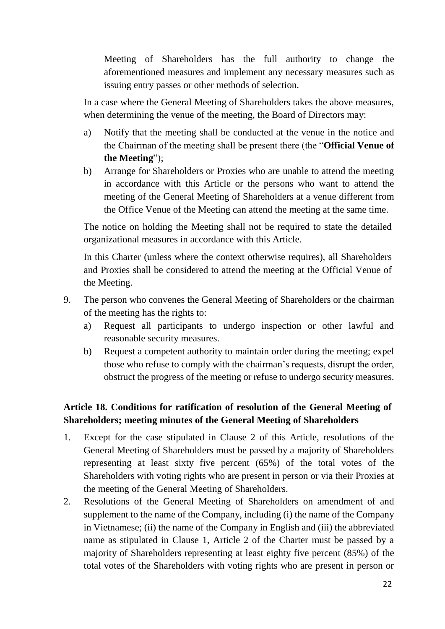Meeting of Shareholders has the full authority to change the aforementioned measures and implement any necessary measures such as issuing entry passes or other methods of selection.

In a case where the General Meeting of Shareholders takes the above measures, when determining the venue of the meeting, the Board of Directors may:

- a) Notify that the meeting shall be conducted at the venue in the notice and the Chairman of the meeting shall be present there (the "**Official Venue of the Meeting**");
- b) Arrange for Shareholders or Proxies who are unable to attend the meeting in accordance with this Article or the persons who want to attend the meeting of the General Meeting of Shareholders at a venue different from the Office Venue of the Meeting can attend the meeting at the same time.

The notice on holding the Meeting shall not be required to state the detailed organizational measures in accordance with this Article.

In this Charter (unless where the context otherwise requires), all Shareholders and Proxies shall be considered to attend the meeting at the Official Venue of the Meeting.

- 9. The person who convenes the General Meeting of Shareholders or the chairman of the meeting has the rights to:
	- a) Request all participants to undergo inspection or other lawful and reasonable security measures.
	- b) Request a competent authority to maintain order during the meeting; expel those who refuse to comply with the chairman's requests, disrupt the order, obstruct the progress of the meeting or refuse to undergo security measures.

# <span id="page-21-0"></span>**Article 18. Conditions for ratification of resolution of the General Meeting of Shareholders; meeting minutes of the General Meeting of Shareholders**

- 1. Except for the case stipulated in Clause 2 of this Article, resolutions of the General Meeting of Shareholders must be passed by a majority of Shareholders representing at least sixty five percent (65%) of the total votes of the Shareholders with voting rights who are present in person or via their Proxies at the meeting of the General Meeting of Shareholders.
- 2. Resolutions of the General Meeting of Shareholders on amendment of and supplement to the name of the Company, including (i) the name of the Company in Vietnamese; (ii) the name of the Company in English and (iii) the abbreviated name as stipulated in Clause 1, Article 2 of the Charter must be passed by a majority of Shareholders representing at least eighty five percent (85%) of the total votes of the Shareholders with voting rights who are present in person or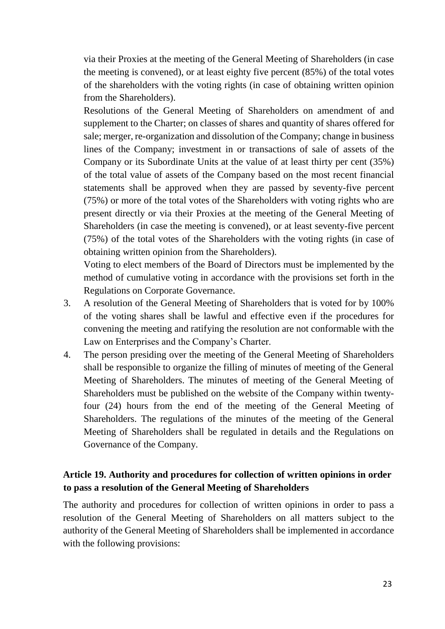via their Proxies at the meeting of the General Meeting of Shareholders (in case the meeting is convened), or at least eighty five percent (85%) of the total votes of the shareholders with the voting rights (in case of obtaining written opinion from the Shareholders).

Resolutions of the General Meeting of Shareholders on amendment of and supplement to the Charter; on classes of shares and quantity of shares offered for sale; merger, re-organization and dissolution of the Company; change in business lines of the Company; investment in or transactions of sale of assets of the Company or its Subordinate Units at the value of at least thirty per cent (35%) of the total value of assets of the Company based on the most recent financial statements shall be approved when they are passed by seventy-five percent (75%) or more of the total votes of the Shareholders with voting rights who are present directly or via their Proxies at the meeting of the General Meeting of Shareholders (in case the meeting is convened), or at least seventy-five percent (75%) of the total votes of the Shareholders with the voting rights (in case of obtaining written opinion from the Shareholders).

Voting to elect members of the Board of Directors must be implemented by the method of cumulative voting in accordance with the provisions set forth in the Regulations on Corporate Governance.

- 3. A resolution of the General Meeting of Shareholders that is voted for by 100% of the voting shares shall be lawful and effective even if the procedures for convening the meeting and ratifying the resolution are not conformable with the Law on Enterprises and the Company's Charter.
- 4. The person presiding over the meeting of the General Meeting of Shareholders shall be responsible to organize the filling of minutes of meeting of the General Meeting of Shareholders. The minutes of meeting of the General Meeting of Shareholders must be published on the website of the Company within twentyfour (24) hours from the end of the meeting of the General Meeting of Shareholders. The regulations of the minutes of the meeting of the General Meeting of Shareholders shall be regulated in details and the Regulations on Governance of the Company.

# <span id="page-22-0"></span>**Article 19. Authority and procedures for collection of written opinions in order to pass a resolution of the General Meeting of Shareholders**

The authority and procedures for collection of written opinions in order to pass a resolution of the General Meeting of Shareholders on all matters subject to the authority of the General Meeting of Shareholders shall be implemented in accordance with the following provisions: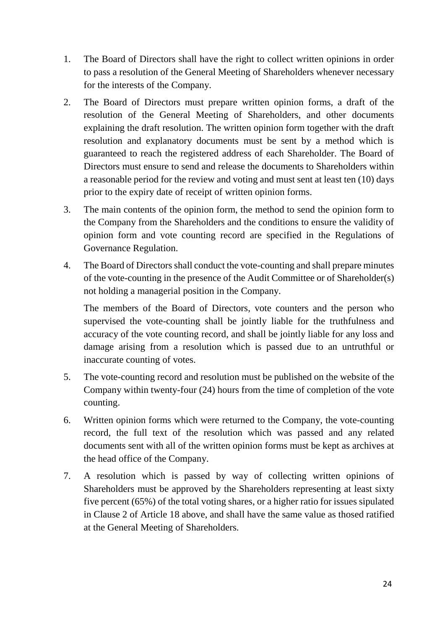- 1. The Board of Directors shall have the right to collect written opinions in order to pass a resolution of the General Meeting of Shareholders whenever necessary for the interests of the Company.
- 2. The Board of Directors must prepare written opinion forms, a draft of the resolution of the General Meeting of Shareholders, and other documents explaining the draft resolution. The written opinion form together with the draft resolution and explanatory documents must be sent by a method which is guaranteed to reach the registered address of each Shareholder. The Board of Directors must ensure to send and release the documents to Shareholders within a reasonable period for the review and voting and must sent at least ten (10) days prior to the expiry date of receipt of written opinion forms.
- 3. The main contents of the opinion form, the method to send the opinion form to the Company from the Shareholders and the conditions to ensure the validity of opinion form and vote counting record are specified in the Regulations of Governance Regulation.
- 4. The Board of Directors shall conduct the vote-counting and shall prepare minutes of the vote-counting in the presence of the Audit Committee or of Shareholder(s) not holding a managerial position in the Company.

The members of the Board of Directors, vote counters and the person who supervised the vote-counting shall be jointly liable for the truthfulness and accuracy of the vote counting record, and shall be jointly liable for any loss and damage arising from a resolution which is passed due to an untruthful or inaccurate counting of votes.

- 5. The vote-counting record and resolution must be published on the website of the Company within twenty-four (24) hours from the time of completion of the vote counting.
- 6. Written opinion forms which were returned to the Company, the vote-counting record, the full text of the resolution which was passed and any related documents sent with all of the written opinion forms must be kept as archives at the head office of the Company.
- 7. A resolution which is passed by way of collecting written opinions of Shareholders must be approved by the Shareholders representing at least sixty five percent (65%) of the total voting shares, or a higher ratio for issues sipulated in Clause 2 of Article 18 above, and shall have the same value as thosed ratified at the General Meeting of Shareholders.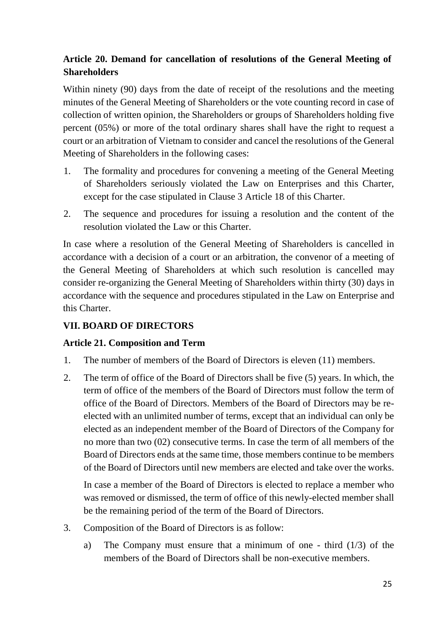# <span id="page-24-0"></span>**Article 20. Demand for cancellation of resolutions of the General Meeting of Shareholders**

Within ninety (90) days from the date of receipt of the resolutions and the meeting minutes of the General Meeting of Shareholders or the vote counting record in case of collection of written opinion, the Shareholders or groups of Shareholders holding five percent (05%) or more of the total ordinary shares shall have the right to request a court or an arbitration of Vietnam to consider and cancel the resolutions of the General Meeting of Shareholders in the following cases:

- 1. The formality and procedures for convening a meeting of the General Meeting of Shareholders seriously violated the Law on Enterprises and this Charter, except for the case stipulated in Clause 3 Article 18 of this Charter.
- 2. The sequence and procedures for issuing a resolution and the content of the resolution violated the Law or this Charter.

In case where a resolution of the General Meeting of Shareholders is cancelled in accordance with a decision of a court or an arbitration, the convenor of a meeting of the General Meeting of Shareholders at which such resolution is cancelled may consider re-organizing the General Meeting of Shareholders within thirty (30) days in accordance with the sequence and procedures stipulated in the Law on Enterprise and this Charter.

# <span id="page-24-1"></span>**VII. BOARD OF DIRECTORS**

## <span id="page-24-2"></span>**Article 21. Composition and Term**

- 1. The number of members of the Board of Directors is eleven (11) members.
- 2. The term of office of the Board of Directors shall be five (5) years. In which, the term of office of the members of the Board of Directors must follow the term of office of the Board of Directors. Members of the Board of Directors may be reelected with an unlimited number of terms, except that an individual can only be elected as an independent member of the Board of Directors of the Company for no more than two (02) consecutive terms. In case the term of all members of the Board of Directors ends at the same time, those members continue to be members of the Board of Directors until new members are elected and take over the works.

In case a member of the Board of Directors is elected to replace a member who was removed or dismissed, the term of office of this newly-elected member shall be the remaining period of the term of the Board of Directors.

- 3. Composition of the Board of Directors is as follow:
	- a) The Company must ensure that a minimum of one third  $(1/3)$  of the members of the Board of Directors shall be non-executive members.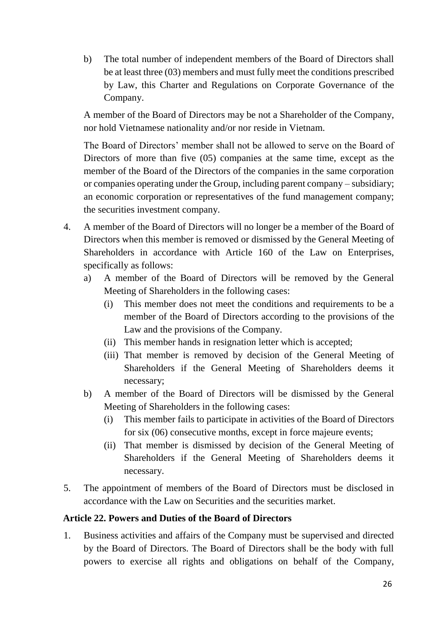b) The total number of independent members of the Board of Directors shall be at least three (03) members and must fully meet the conditions prescribed by Law, this Charter and Regulations on Corporate Governance of the Company.

A member of the Board of Directors may be not a Shareholder of the Company, nor hold Vietnamese nationality and/or nor reside in Vietnam.

The Board of Directors' member shall not be allowed to serve on the Board of Directors of more than five (05) companies at the same time, except as the member of the Board of the Directors of the companies in the same corporation or companies operating under the Group, including parent company – subsidiary; an economic corporation or representatives of the fund management company; the securities investment company.

- 4. A member of the Board of Directors will no longer be a member of the Board of Directors when this member is removed or dismissed by the General Meeting of Shareholders in accordance with Article 160 of the Law on Enterprises, specifically as follows:
	- a) A member of the Board of Directors will be removed by the General Meeting of Shareholders in the following cases:
		- (i) This member does not meet the conditions and requirements to be a member of the Board of Directors according to the provisions of the Law and the provisions of the Company.
		- (ii) This member hands in resignation letter which is accepted;
		- (iii) That member is removed by decision of the General Meeting of Shareholders if the General Meeting of Shareholders deems it necessary;
	- b) A member of the Board of Directors will be dismissed by the General Meeting of Shareholders in the following cases:
		- (i) This member fails to participate in activities of the Board of Directors for six (06) consecutive months, except in force majeure events;
		- (ii) That member is dismissed by decision of the General Meeting of Shareholders if the General Meeting of Shareholders deems it necessary.
- 5. The appointment of members of the Board of Directors must be disclosed in accordance with the Law on Securities and the securities market.

## <span id="page-25-0"></span>**Article 22. Powers and Duties of the Board of Directors**

1. Business activities and affairs of the Company must be supervised and directed by the Board of Directors. The Board of Directors shall be the body with full powers to exercise all rights and obligations on behalf of the Company,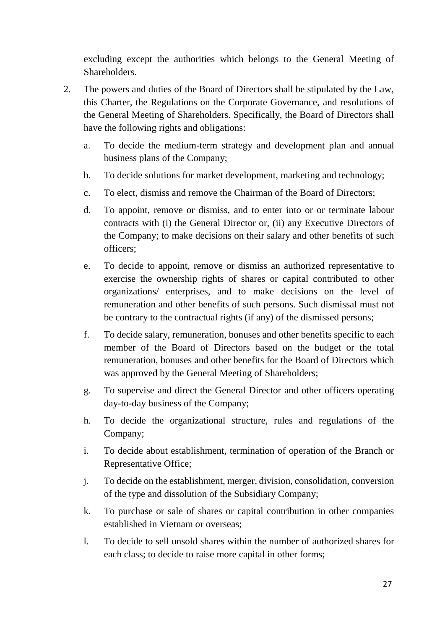excluding except the authorities which belongs to the General Meeting of **Shareholders** 

- 2. The powers and duties of the Board of Directors shall be stipulated by the Law, this Charter, the Regulations on the Corporate Governance, and resolutions of the General Meeting of Shareholders. Specifically, the Board of Directors shall have the following rights and obligations:
	- a. To decide the medium-term strategy and development plan and annual business plans of the Company;
	- b. To decide solutions for market development, marketing and technology;
	- c. To elect, dismiss and remove the Chairman of the Board of Directors;
	- d. To appoint, remove or dismiss, and to enter into or or terminate labour contracts with (i) the General Director or, (ii) any Executive Directors of the Company; to make decisions on their salary and other benefits of such officers;
	- e. To decide to appoint, remove or dismiss an authorized representative to exercise the ownership rights of shares or capital contributed to other organizations/ enterprises, and to make decisions on the level of remuneration and other benefits of such persons. Such dismissal must not be contrary to the contractual rights (if any) of the dismissed persons;
	- f. To decide salary, remuneration, bonuses and other benefits specific to each member of the Board of Directors based on the budget or the total remuneration, bonuses and other benefits for the Board of Directors which was approved by the General Meeting of Shareholders;
	- g. To supervise and direct the General Director and other officers operating day-to-day business of the Company;
	- h. To decide the organizational structure, rules and regulations of the Company;
	- i. To decide about establishment, termination of operation of the Branch or Representative Office;
	- j. To decide on the establishment, merger, division, consolidation, conversion of the type and dissolution of the Subsidiary Company;
	- k. To purchase or sale of shares or capital contribution in other companies established in Vietnam or overseas;
	- l. To decide to sell unsold shares within the number of authorized shares for each class; to decide to raise more capital in other forms;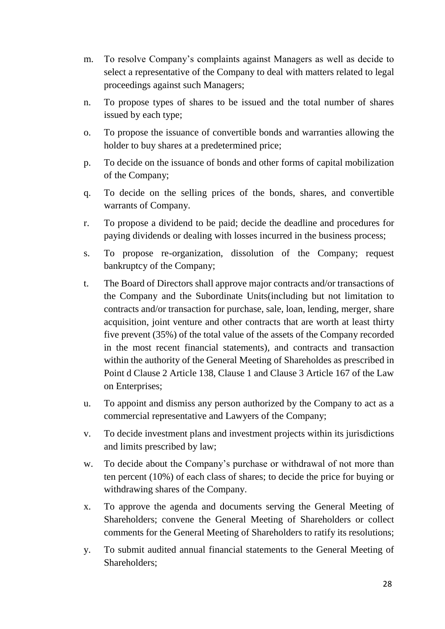- m. To resolve Company's complaints against Managers as well as decide to select a representative of the Company to deal with matters related to legal proceedings against such Managers;
- n. To propose types of shares to be issued and the total number of shares issued by each type;
- o. To propose the issuance of convertible bonds and warranties allowing the holder to buy shares at a predetermined price;
- p. To decide on the issuance of bonds and other forms of capital mobilization of the Company;
- q. To decide on the selling prices of the bonds, shares, and convertible warrants of Company.
- r. To propose a dividend to be paid; decide the deadline and procedures for paying dividends or dealing with losses incurred in the business process;
- s. To propose re-organization, dissolution of the Company; request bankruptcy of the Company;
- t. The Board of Directors shall approve major contracts and/or transactions of the Company and the Subordinate Units(including but not limitation to contracts and/or transaction for purchase, sale, loan, lending, merger, share acquisition, joint venture and other contracts that are worth at least thirty five prevent (35%) of the total value of the assets of the Company recorded in the most recent financial statements), and contracts and transaction within the authority of the General Meeting of Shareholdes as prescribed in Point d Clause 2 Article 138, Clause 1 and Clause 3 Article 167 of the Law on Enterprises;
- u. To appoint and dismiss any person authorized by the Company to act as a commercial representative and Lawyers of the Company;
- v. To decide investment plans and investment projects within its jurisdictions and limits prescribed by law;
- w. To decide about the Company's purchase or withdrawal of not more than ten percent (10%) of each class of shares; to decide the price for buying or withdrawing shares of the Company.
- x. To approve the agenda and documents serving the General Meeting of Shareholders; convene the General Meeting of Shareholders or collect comments for the General Meeting of Shareholders to ratify its resolutions;
- y. To submit audited annual financial statements to the General Meeting of Shareholders;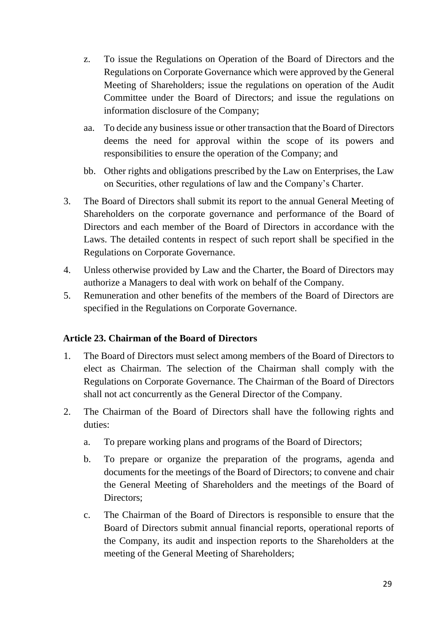- z. To issue the Regulations on Operation of the Board of Directors and the Regulations on Corporate Governance which were approved by the General Meeting of Shareholders; issue the regulations on operation of the Audit Committee under the Board of Directors; and issue the regulations on information disclosure of the Company;
- aa. To decide any business issue or other transaction that the Board of Directors deems the need for approval within the scope of its powers and responsibilities to ensure the operation of the Company; and
- bb. Other rights and obligations prescribed by the Law on Enterprises, the Law on Securities, other regulations of law and the Company's Charter.
- 3. The Board of Directors shall submit its report to the annual General Meeting of Shareholders on the corporate governance and performance of the Board of Directors and each member of the Board of Directors in accordance with the Laws. The detailed contents in respect of such report shall be specified in the Regulations on Corporate Governance.
- 4. Unless otherwise provided by Law and the Charter, the Board of Directors may authorize a Managers to deal with work on behalf of the Company.
- 5. Remuneration and other benefits of the members of the Board of Directors are specified in the Regulations on Corporate Governance.

## <span id="page-28-0"></span>**Article 23. Chairman of the Board of Directors**

- 1. The Board of Directors must select among members of the Board of Directors to elect as Chairman. The selection of the Chairman shall comply with the Regulations on Corporate Governance. The Chairman of the Board of Directors shall not act concurrently as the General Director of the Company.
- 2. The Chairman of the Board of Directors shall have the following rights and duties:
	- a. To prepare working plans and programs of the Board of Directors;
	- b. To prepare or organize the preparation of the programs, agenda and documents for the meetings of the Board of Directors; to convene and chair the General Meeting of Shareholders and the meetings of the Board of Directors:
	- c. The Chairman of the Board of Directors is responsible to ensure that the Board of Directors submit annual financial reports, operational reports of the Company, its audit and inspection reports to the Shareholders at the meeting of the General Meeting of Shareholders;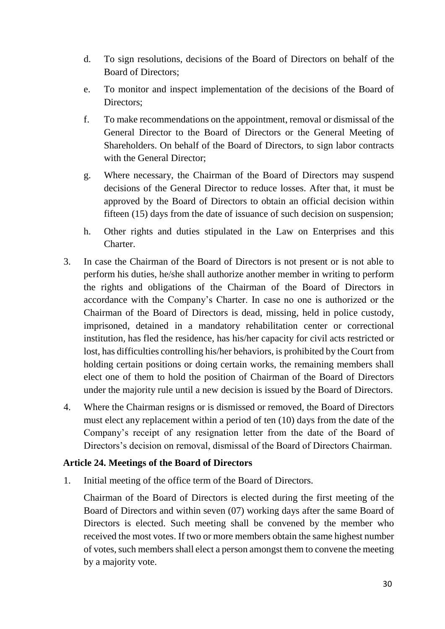- d. To sign resolutions, decisions of the Board of Directors on behalf of the Board of Directors;
- e. To monitor and inspect implementation of the decisions of the Board of Directors;
- f. To make recommendations on the appointment, removal or dismissal of the General Director to the Board of Directors or the General Meeting of Shareholders. On behalf of the Board of Directors, to sign labor contracts with the General Director;
- g. Where necessary, the Chairman of the Board of Directors may suspend decisions of the General Director to reduce losses. After that, it must be approved by the Board of Directors to obtain an official decision within fifteen (15) days from the date of issuance of such decision on suspension;
- h. Other rights and duties stipulated in the Law on Enterprises and this Charter.
- 3. In case the Chairman of the Board of Directors is not present or is not able to perform his duties, he/she shall authorize another member in writing to perform the rights and obligations of the Chairman of the Board of Directors in accordance with the Company's Charter. In case no one is authorized or the Chairman of the Board of Directors is dead, missing, held in police custody, imprisoned, detained in a mandatory rehabilitation center or correctional institution, has fled the residence, has his/her capacity for civil acts restricted or lost, has difficulties controlling his/her behaviors, is prohibited by the Court from holding certain positions or doing certain works, the remaining members shall elect one of them to hold the position of Chairman of the Board of Directors under the majority rule until a new decision is issued by the Board of Directors.
- 4. Where the Chairman resigns or is dismissed or removed, the Board of Directors must elect any replacement within a period of ten (10) days from the date of the Company's receipt of any resignation letter from the date of the Board of Directors's decision on removal, dismissal of the Board of Directors Chairman.

#### <span id="page-29-0"></span>**Article 24. Meetings of the Board of Directors**

1. Initial meeting of the office term of the Board of Directors.

Chairman of the Board of Directors is elected during the first meeting of the Board of Directors and within seven (07) working days after the same Board of Directors is elected. Such meeting shall be convened by the member who received the most votes. If two or more members obtain the same highest number of votes, such members shall elect a person amongst them to convene the meeting by a majority vote.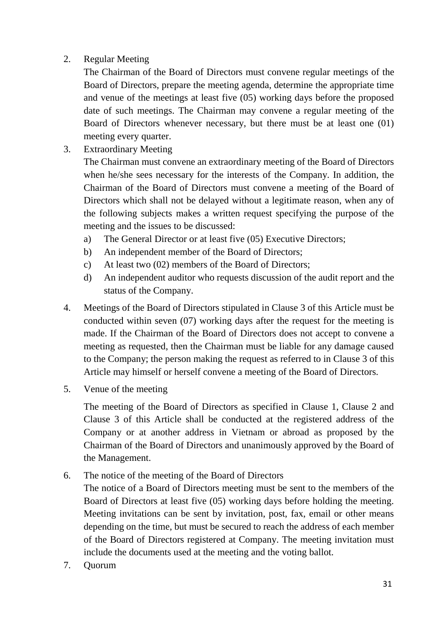## 2. Regular Meeting

The Chairman of the Board of Directors must convene regular meetings of the Board of Directors, prepare the meeting agenda, determine the appropriate time and venue of the meetings at least five (05) working days before the proposed date of such meetings. The Chairman may convene a regular meeting of the Board of Directors whenever necessary, but there must be at least one (01) meeting every quarter.

3. Extraordinary Meeting

The Chairman must convene an extraordinary meeting of the Board of Directors when he/she sees necessary for the interests of the Company. In addition, the Chairman of the Board of Directors must convene a meeting of the Board of Directors which shall not be delayed without a legitimate reason, when any of the following subjects makes a written request specifying the purpose of the meeting and the issues to be discussed:

- a) The General Director or at least five (05) Executive Directors;
- b) An independent member of the Board of Directors;
- c) At least two (02) members of the Board of Directors;
- d) An independent auditor who requests discussion of the audit report and the status of the Company.
- 4. Meetings of the Board of Directors stipulated in Clause 3 of this Article must be conducted within seven (07) working days after the request for the meeting is made. If the Chairman of the Board of Directors does not accept to convene a meeting as requested, then the Chairman must be liable for any damage caused to the Company; the person making the request as referred to in Clause 3 of this Article may himself or herself convene a meeting of the Board of Directors.
- 5. Venue of the meeting

The meeting of the Board of Directors as specified in Clause 1, Clause 2 and Clause 3 of this Article shall be conducted at the registered address of the Company or at another address in Vietnam or abroad as proposed by the Chairman of the Board of Directors and unanimously approved by the Board of the Management.

6. The notice of the meeting of the Board of Directors

The notice of a Board of Directors meeting must be sent to the members of the Board of Directors at least five (05) working days before holding the meeting. Meeting invitations can be sent by invitation, post, fax, email or other means depending on the time, but must be secured to reach the address of each member of the Board of Directors registered at Company. The meeting invitation must include the documents used at the meeting and the voting ballot.

7. Quorum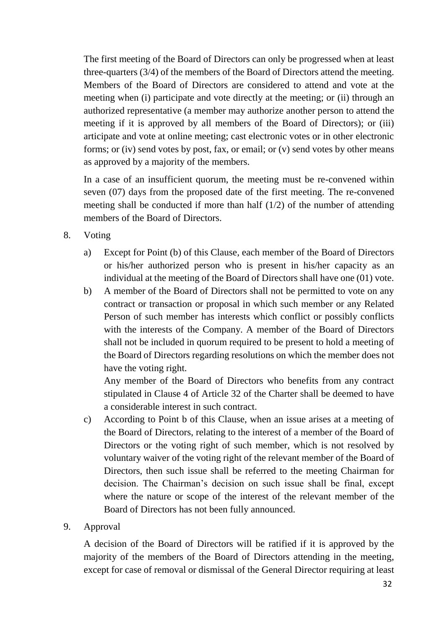The first meeting of the Board of Directors can only be progressed when at least three-quarters (3/4) of the members of the Board of Directors attend the meeting. Members of the Board of Directors are considered to attend and vote at the meeting when (i) participate and vote directly at the meeting; or (ii) through an authorized representative (a member may authorize another person to attend the meeting if it is approved by all members of the Board of Directors); or (iii) articipate and vote at online meeting; cast electronic votes or in other electronic forms; or (iv) send votes by post, fax, or email; or (v) send votes by other means as approved by a majority of the members.

In a case of an insufficient quorum, the meeting must be re-convened within seven (07) days from the proposed date of the first meeting. The re-convened meeting shall be conducted if more than half  $(1/2)$  of the number of attending members of the Board of Directors.

- 8. Voting
	- a) Except for Point (b) of this Clause, each member of the Board of Directors or his/her authorized person who is present in his/her capacity as an individual at the meeting of the Board of Directors shall have one (01) vote.
	- b) A member of the Board of Directors shall not be permitted to vote on any contract or transaction or proposal in which such member or any Related Person of such member has interests which conflict or possibly conflicts with the interests of the Company. A member of the Board of Directors shall not be included in quorum required to be present to hold a meeting of the Board of Directors regarding resolutions on which the member does not have the voting right.

Any member of the Board of Directors who benefits from any contract stipulated in Clause 4 of Article 32 of the Charter shall be deemed to have a considerable interest in such contract.

c) According to Point b of this Clause, when an issue arises at a meeting of the Board of Directors, relating to the interest of a member of the Board of Directors or the voting right of such member, which is not resolved by voluntary waiver of the voting right of the relevant member of the Board of Directors, then such issue shall be referred to the meeting Chairman for decision. The Chairman's decision on such issue shall be final, except where the nature or scope of the interest of the relevant member of the Board of Directors has not been fully announced.

#### 9. Approval

A decision of the Board of Directors will be ratified if it is approved by the majority of the members of the Board of Directors attending in the meeting, except for case of removal or dismissal of the General Director requiring at least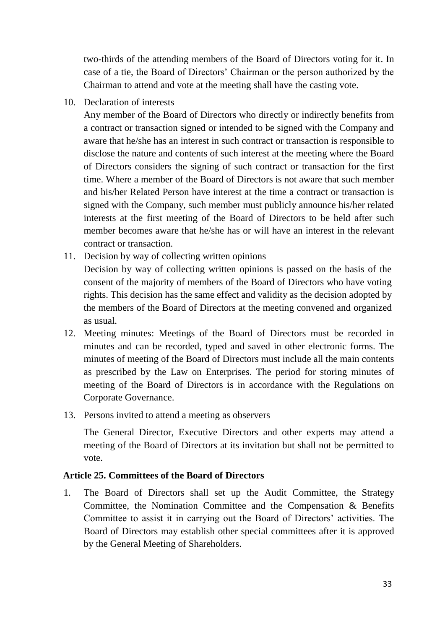two-thirds of the attending members of the Board of Directors voting for it. In case of a tie, the Board of Directors' Chairman or the person authorized by the Chairman to attend and vote at the meeting shall have the casting vote.

10. Declaration of interests

Any member of the Board of Directors who directly or indirectly benefits from a contract or transaction signed or intended to be signed with the Company and aware that he/she has an interest in such contract or transaction is responsible to disclose the nature and contents of such interest at the meeting where the Board of Directors considers the signing of such contract or transaction for the first time. Where a member of the Board of Directors is not aware that such member and his/her Related Person have interest at the time a contract or transaction is signed with the Company, such member must publicly announce his/her related interests at the first meeting of the Board of Directors to be held after such member becomes aware that he/she has or will have an interest in the relevant contract or transaction.

- 11. Decision by way of collecting written opinions Decision by way of collecting written opinions is passed on the basis of the consent of the majority of members of the Board of Directors who have voting rights. This decision has the same effect and validity as the decision adopted by the members of the Board of Directors at the meeting convened and organized as usual.
- 12. Meeting minutes: Meetings of the Board of Directors must be recorded in minutes and can be recorded, typed and saved in other electronic forms. The minutes of meeting of the Board of Directors must include all the main contents as prescribed by the Law on Enterprises. The period for storing minutes of meeting of the Board of Directors is in accordance with the Regulations on Corporate Governance.
- 13. Persons invited to attend a meeting as observers

The General Director, Executive Directors and other experts may attend a meeting of the Board of Directors at its invitation but shall not be permitted to vote.

#### <span id="page-32-0"></span>**Article 25. Committees of the Board of Directors**

1. The Board of Directors shall set up the Audit Committee, the Strategy Committee, the Nomination Committee and the Compensation & Benefits Committee to assist it in carrying out the Board of Directors' activities. The Board of Directors may establish other special committees after it is approved by the General Meeting of Shareholders.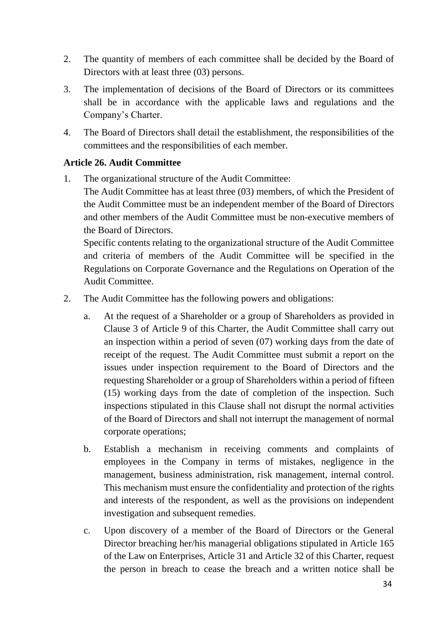- 2. The quantity of members of each committee shall be decided by the Board of Directors with at least three (03) persons.
- 3. The implementation of decisions of the Board of Directors or its committees shall be in accordance with the applicable laws and regulations and the Company's Charter.
- 4. The Board of Directors shall detail the establishment, the responsibilities of the committees and the responsibilities of each member.

## <span id="page-33-0"></span>**Article 26. Audit Committee**

1. The organizational structure of the Audit Committee:

The Audit Committee has at least three (03) members, of which the President of the Audit Committee must be an independent member of the Board of Directors and other members of the Audit Committee must be non-executive members of the Board of Directors.

Specific contents relating to the organizational structure of the Audit Committee and criteria of members of the Audit Committee will be specified in the Regulations on Corporate Governance and the Regulations on Operation of the Audit Committee.

- 2. The Audit Committee has the following powers and obligations:
	- a. At the request of a Shareholder or a group of Shareholders as provided in Clause 3 of Article 9 of this Charter, the Audit Committee shall carry out an inspection within a period of seven (07) working days from the date of receipt of the request. The Audit Committee must submit a report on the issues under inspection requirement to the Board of Directors and the requesting Shareholder or a group of Shareholders within a period of fifteen (15) working days from the date of completion of the inspection. Such inspections stipulated in this Clause shall not disrupt the normal activities of the Board of Directors and shall not interrupt the management of normal corporate operations;
	- b. Establish a mechanism in receiving comments and complaints of employees in the Company in terms of mistakes, negligence in the management, business administration, risk management, internal control. This mechanism must ensure the confidentiality and protection of the rights and interests of the respondent, as well as the provisions on independent investigation and subsequent remedies.
	- c. Upon discovery of a member of the Board of Directors or the General Director breaching her/his managerial obligations stipulated in Article 165 of the Law on Enterprises, Article 31 and Article 32 of this Charter, request the person in breach to cease the breach and a written notice shall be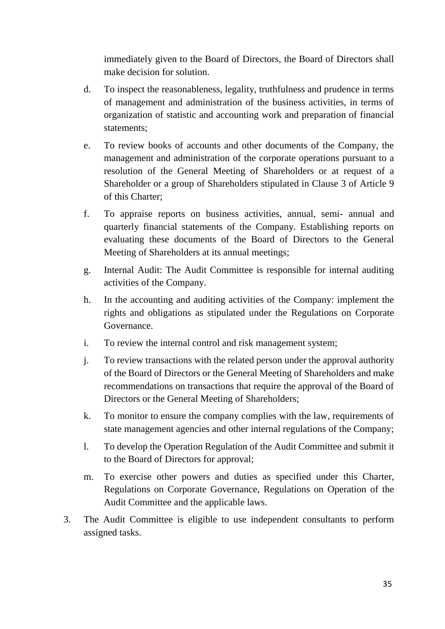immediately given to the Board of Directors, the Board of Directors shall make decision for solution.

- d. To inspect the reasonableness, legality, truthfulness and prudence in terms of management and administration of the business activities, in terms of organization of statistic and accounting work and preparation of financial statements;
- e. To review books of accounts and other documents of the Company, the management and administration of the corporate operations pursuant to a resolution of the General Meeting of Shareholders or at request of a Shareholder or a group of Shareholders stipulated in Clause 3 of Article 9 of this Charter;
- f. To appraise reports on business activities, annual, semi- annual and quarterly financial statements of the Company. Establishing reports on evaluating these documents of the Board of Directors to the General Meeting of Shareholders at its annual meetings;
- g. Internal Audit: The Audit Committee is responsible for internal auditing activities of the Company.
- h. In the accounting and auditing activities of the Company: implement the rights and obligations as stipulated under the Regulations on Corporate Governance.
- i. To review the internal control and risk management system;
- j. To review transactions with the related person under the approval authority of the Board of Directors or the General Meeting of Shareholders and make recommendations on transactions that require the approval of the Board of Directors or the General Meeting of Shareholders;
- k. To monitor to ensure the company complies with the law, requirements of state management agencies and other internal regulations of the Company;
- l. To develop the Operation Regulation of the Audit Committee and submit it to the Board of Directors for approval;
- m. To exercise other powers and duties as specified under this Charter, Regulations on Corporate Governance, Regulations on Operation of the Audit Committee and the applicable laws.
- 3. The Audit Committee is eligible to use independent consultants to perform assigned tasks.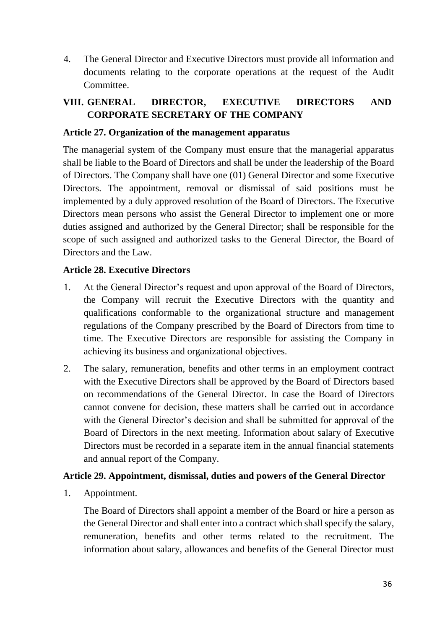4. The General Director and Executive Directors must provide all information and documents relating to the corporate operations at the request of the Audit Committee.

# <span id="page-35-0"></span>**VIII. GENERAL DIRECTOR, EXECUTIVE DIRECTORS AND CORPORATE SECRETARY OF THE COMPANY**

#### <span id="page-35-1"></span>**Article 27. Organization of the management apparatus**

The managerial system of the Company must ensure that the managerial apparatus shall be liable to the Board of Directors and shall be under the leadership of the Board of Directors. The Company shall have one (01) General Director and some Executive Directors. The appointment, removal or dismissal of said positions must be implemented by a duly approved resolution of the Board of Directors. The Executive Directors mean persons who assist the General Director to implement one or more duties assigned and authorized by the General Director; shall be responsible for the scope of such assigned and authorized tasks to the General Director, the Board of Directors and the Law.

#### <span id="page-35-2"></span>**Article 28. Executive Directors**

- 1. At the General Director's request and upon approval of the Board of Directors, the Company will recruit the Executive Directors with the quantity and qualifications conformable to the organizational structure and management regulations of the Company prescribed by the Board of Directors from time to time. The Executive Directors are responsible for assisting the Company in achieving its business and organizational objectives.
- 2. The salary, remuneration, benefits and other terms in an employment contract with the Executive Directors shall be approved by the Board of Directors based on recommendations of the General Director. In case the Board of Directors cannot convene for decision, these matters shall be carried out in accordance with the General Director's decision and shall be submitted for approval of the Board of Directors in the next meeting. Information about salary of Executive Directors must be recorded in a separate item in the annual financial statements and annual report of the Company.

#### <span id="page-35-3"></span>**Article 29. Appointment, dismissal, duties and powers of the General Director**

1. Appointment.

The Board of Directors shall appoint a member of the Board or hire a person as the General Director and shall enter into a contract which shall specify the salary, remuneration, benefits and other terms related to the recruitment. The information about salary, allowances and benefits of the General Director must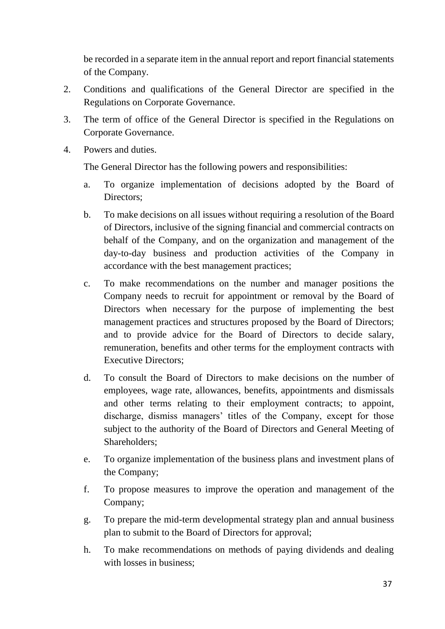be recorded in a separate item in the annual report and report financial statements of the Company.

- 2. Conditions and qualifications of the General Director are specified in the Regulations on Corporate Governance.
- 3. The term of office of the General Director is specified in the Regulations on Corporate Governance.
- 4. Powers and duties.

The General Director has the following powers and responsibilities:

- a. To organize implementation of decisions adopted by the Board of Directors;
- b. To make decisions on all issues without requiring a resolution of the Board of Directors, inclusive of the signing financial and commercial contracts on behalf of the Company, and on the organization and management of the day-to-day business and production activities of the Company in accordance with the best management practices;
- c. To make recommendations on the number and manager positions the Company needs to recruit for appointment or removal by the Board of Directors when necessary for the purpose of implementing the best management practices and structures proposed by the Board of Directors; and to provide advice for the Board of Directors to decide salary, remuneration, benefits and other terms for the employment contracts with Executive Directors;
- d. To consult the Board of Directors to make decisions on the number of employees, wage rate, allowances, benefits, appointments and dismissals and other terms relating to their employment contracts; to appoint, discharge, dismiss managers' titles of the Company, except for those subject to the authority of the Board of Directors and General Meeting of Shareholders;
- e. To organize implementation of the business plans and investment plans of the Company;
- f. To propose measures to improve the operation and management of the Company;
- g. To prepare the mid-term developmental strategy plan and annual business plan to submit to the Board of Directors for approval;
- h. To make recommendations on methods of paying dividends and dealing with losses in business;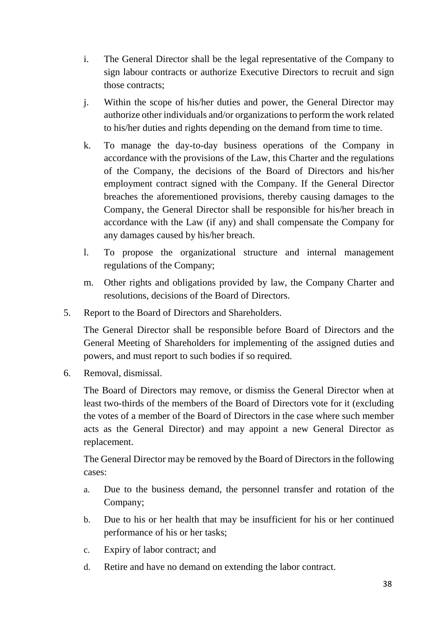- i. The General Director shall be the legal representative of the Company to sign labour contracts or authorize Executive Directors to recruit and sign those contracts;
- j. Within the scope of his/her duties and power, the General Director may authorize other individuals and/or organizations to perform the work related to his/her duties and rights depending on the demand from time to time.
- k. To manage the day-to-day business operations of the Company in accordance with the provisions of the Law, this Charter and the regulations of the Company, the decisions of the Board of Directors and his/her employment contract signed with the Company. If the General Director breaches the aforementioned provisions, thereby causing damages to the Company, the General Director shall be responsible for his/her breach in accordance with the Law (if any) and shall compensate the Company for any damages caused by his/her breach.
- l. To propose the organizational structure and internal management regulations of the Company;
- m. Other rights and obligations provided by law, the Company Charter and resolutions, decisions of the Board of Directors.
- 5. Report to the Board of Directors and Shareholders.

The General Director shall be responsible before Board of Directors and the General Meeting of Shareholders for implementing of the assigned duties and powers, and must report to such bodies if so required.

6. Removal, dismissal.

The Board of Directors may remove, or dismiss the General Director when at least two-thirds of the members of the Board of Directors vote for it (excluding the votes of a member of the Board of Directors in the case where such member acts as the General Director) and may appoint a new General Director as replacement.

The General Director may be removed by the Board of Directors in the following cases:

- a. Due to the business demand, the personnel transfer and rotation of the Company;
- b. Due to his or her health that may be insufficient for his or her continued performance of his or her tasks;
- c. Expiry of labor contract; and
- d. Retire and have no demand on extending the labor contract.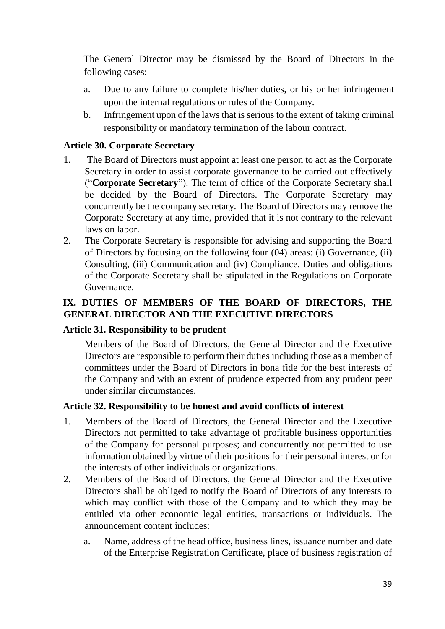The General Director may be dismissed by the Board of Directors in the following cases:

- a. Due to any failure to complete his/her duties, or his or her infringement upon the internal regulations or rules of the Company.
- b. Infringement upon of the laws that is serious to the extent of taking criminal responsibility or mandatory termination of the labour contract.

#### <span id="page-38-0"></span>**Article 30. Corporate Secretary**

- 1. The Board of Directors must appoint at least one person to act as the Corporate Secretary in order to assist corporate governance to be carried out effectively ("**Corporate Secretary**"). The term of office of the Corporate Secretary shall be decided by the Board of Directors. The Corporate Secretary may concurrently be the company secretary. The Board of Directors may remove the Corporate Secretary at any time, provided that it is not contrary to the relevant laws on labor.
- 2. The Corporate Secretary is responsible for advising and supporting the Board of Directors by focusing on the following four (04) areas: (i) Governance, (ii) Consulting, (iii) Communication and (iv) Compliance. Duties and obligations of the Corporate Secretary shall be stipulated in the Regulations on Corporate Governance.

# <span id="page-38-1"></span>**IX. DUTIES OF MEMBERS OF THE BOARD OF DIRECTORS, THE GENERAL DIRECTOR AND THE EXECUTIVE DIRECTORS**

#### <span id="page-38-2"></span>**Article 31. Responsibility to be prudent**

Members of the Board of Directors, the General Director and the Executive Directors are responsible to perform their duties including those as a member of committees under the Board of Directors in bona fide for the best interests of the Company and with an extent of prudence expected from any prudent peer under similar circumstances.

#### <span id="page-38-3"></span>**Article 32. Responsibility to be honest and avoid conflicts of interest**

- 1. Members of the Board of Directors, the General Director and the Executive Directors not permitted to take advantage of profitable business opportunities of the Company for personal purposes; and concurrently not permitted to use information obtained by virtue of their positions for their personal interest or for the interests of other individuals or organizations.
- 2. Members of the Board of Directors, the General Director and the Executive Directors shall be obliged to notify the Board of Directors of any interests to which may conflict with those of the Company and to which they may be entitled via other economic legal entities, transactions or individuals. The announcement content includes:
	- a. Name, address of the head office, business lines, issuance number and date of the Enterprise Registration Certificate, place of business registration of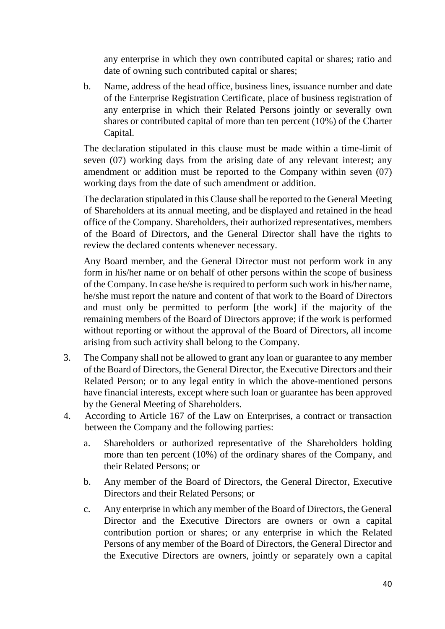any enterprise in which they own contributed capital or shares; ratio and date of owning such contributed capital or shares;

b. Name, address of the head office, business lines, issuance number and date of the Enterprise Registration Certificate, place of business registration of any enterprise in which their Related Persons jointly or severally own shares or contributed capital of more than ten percent (10%) of the Charter Capital.

The declaration stipulated in this clause must be made within a time-limit of seven (07) working days from the arising date of any relevant interest; any amendment or addition must be reported to the Company within seven (07) working days from the date of such amendment or addition.

The declaration stipulated in this Clause shall be reported to the General Meeting of Shareholders at its annual meeting, and be displayed and retained in the head office of the Company. Shareholders, their authorized representatives, members of the Board of Directors, and the General Director shall have the rights to review the declared contents whenever necessary.

Any Board member, and the General Director must not perform work in any form in his/her name or on behalf of other persons within the scope of business of the Company. In case he/she is required to perform such work in his/her name, he/she must report the nature and content of that work to the Board of Directors and must only be permitted to perform [the work] if the majority of the remaining members of the Board of Directors approve; if the work is performed without reporting or without the approval of the Board of Directors, all income arising from such activity shall belong to the Company.

- 3. The Company shall not be allowed to grant any loan or guarantee to any member of the Board of Directors, the General Director, the Executive Directors and their Related Person; or to any legal entity in which the above-mentioned persons have financial interests, except where such loan or guarantee has been approved by the General Meeting of Shareholders.
- 4. According to Article 167 of the Law on Enterprises, a contract or transaction between the Company and the following parties:
	- a. Shareholders or authorized representative of the Shareholders holding more than ten percent (10%) of the ordinary shares of the Company, and their Related Persons; or
	- b. Any member of the Board of Directors, the General Director, Executive Directors and their Related Persons; or
	- c. Any enterprise in which any member of the Board of Directors, the General Director and the Executive Directors are owners or own a capital contribution portion or shares; or any enterprise in which the Related Persons of any member of the Board of Directors, the General Director and the Executive Directors are owners, jointly or separately own a capital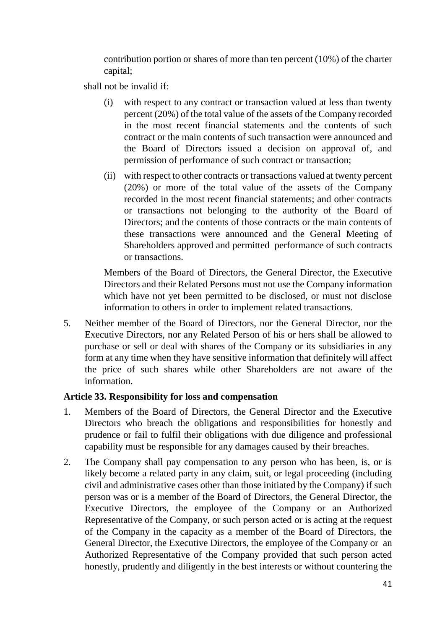contribution portion or shares of more than ten percent (10%) of the charter capital;

shall not be invalid if:

- (i) with respect to any contract or transaction valued at less than twenty percent (20%) of the total value of the assets of the Company recorded in the most recent financial statements and the contents of such contract or the main contents of such transaction were announced and the Board of Directors issued a decision on approval of, and permission of performance of such contract or transaction;
- (ii) with respect to other contracts or transactions valued at twenty percent (20%) or more of the total value of the assets of the Company recorded in the most recent financial statements; and other contracts or transactions not belonging to the authority of the Board of Directors; and the contents of those contracts or the main contents of these transactions were announced and the General Meeting of Shareholders approved and permitted performance of such contracts or transactions.

Members of the Board of Directors, the General Director, the Executive Directors and their Related Persons must not use the Company information which have not yet been permitted to be disclosed, or must not disclose information to others in order to implement related transactions.

5. Neither member of the Board of Directors, nor the General Director, nor the Executive Directors, nor any Related Person of his or hers shall be allowed to purchase or sell or deal with shares of the Company or its subsidiaries in any form at any time when they have sensitive information that definitely will affect the price of such shares while other Shareholders are not aware of the information.

#### <span id="page-40-0"></span>**Article 33. Responsibility for loss and compensation**

- 1. Members of the Board of Directors, the General Director and the Executive Directors who breach the obligations and responsibilities for honestly and prudence or fail to fulfil their obligations with due diligence and professional capability must be responsible for any damages caused by their breaches.
- 2. The Company shall pay compensation to any person who has been, is, or is likely become a related party in any claim, suit, or legal proceeding (including civil and administrative cases other than those initiated by the Company) if such person was or is a member of the Board of Directors, the General Director, the Executive Directors, the employee of the Company or an Authorized Representative of the Company, or such person acted or is acting at the request of the Company in the capacity as a member of the Board of Directors, the General Director, the Executive Directors, the employee of the Company or an Authorized Representative of the Company provided that such person acted honestly, prudently and diligently in the best interests or without countering the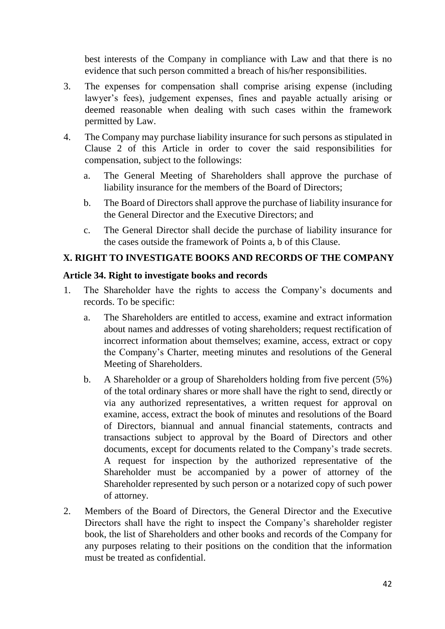best interests of the Company in compliance with Law and that there is no evidence that such person committed a breach of his/her responsibilities.

- 3. The expenses for compensation shall comprise arising expense (including lawyer's fees), judgement expenses, fines and payable actually arising or deemed reasonable when dealing with such cases within the framework permitted by Law.
- 4. The Company may purchase liability insurance for such persons as stipulated in Clause 2 of this Article in order to cover the said responsibilities for compensation, subject to the followings:
	- a. The General Meeting of Shareholders shall approve the purchase of liability insurance for the members of the Board of Directors;
	- b. The Board of Directors shall approve the purchase of liability insurance for the General Director and the Executive Directors; and
	- c. The General Director shall decide the purchase of liability insurance for the cases outside the framework of Points a, b of this Clause.

# <span id="page-41-0"></span>**X. RIGHT TO INVESTIGATE BOOKS AND RECORDS OF THE COMPANY**

#### <span id="page-41-1"></span>**Article 34. Right to investigate books and records**

- 1. The Shareholder have the rights to access the Company's documents and records. To be specific:
	- a. The Shareholders are entitled to access, examine and extract information about names and addresses of voting shareholders; request rectification of incorrect information about themselves; examine, access, extract or copy the Company's Charter, meeting minutes and resolutions of the General Meeting of Shareholders.
	- b. A Shareholder or a group of Shareholders holding from five percent (5%) of the total ordinary shares or more shall have the right to send, directly or via any authorized representatives, a written request for approval on examine, access, extract the book of minutes and resolutions of the Board of Directors, biannual and annual financial statements, contracts and transactions subject to approval by the Board of Directors and other documents, except for documents related to the Company's trade secrets. A request for inspection by the authorized representative of the Shareholder must be accompanied by a power of attorney of the Shareholder represented by such person or a notarized copy of such power of attorney.
- 2. Members of the Board of Directors, the General Director and the Executive Directors shall have the right to inspect the Company's shareholder register book, the list of Shareholders and other books and records of the Company for any purposes relating to their positions on the condition that the information must be treated as confidential.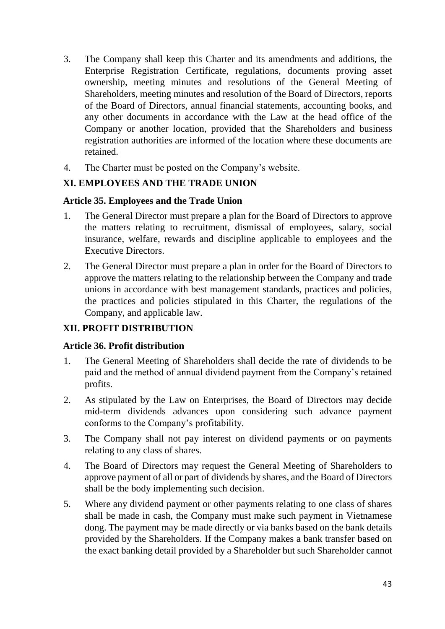- 3. The Company shall keep this Charter and its amendments and additions, the Enterprise Registration Certificate, regulations, documents proving asset ownership, meeting minutes and resolutions of the General Meeting of Shareholders, meeting minutes and resolution of the Board of Directors, reports of the Board of Directors, annual financial statements, accounting books, and any other documents in accordance with the Law at the head office of the Company or another location, provided that the Shareholders and business registration authorities are informed of the location where these documents are retained.
- 4. The Charter must be posted on the Company's website.

## <span id="page-42-0"></span>**XI. EMPLOYEES AND THE TRADE UNION**

#### <span id="page-42-1"></span>**Article 35. Employees and the Trade Union**

- 1. The General Director must prepare a plan for the Board of Directors to approve the matters relating to recruitment, dismissal of employees, salary, social insurance, welfare, rewards and discipline applicable to employees and the Executive Directors.
- 2. The General Director must prepare a plan in order for the Board of Directors to approve the matters relating to the relationship between the Company and trade unions in accordance with best management standards, practices and policies, the practices and policies stipulated in this Charter, the regulations of the Company, and applicable law.

# <span id="page-42-2"></span>**XII. PROFIT DISTRIBUTION**

## <span id="page-42-3"></span>**Article 36. Profit distribution**

- 1. The General Meeting of Shareholders shall decide the rate of dividends to be paid and the method of annual dividend payment from the Company's retained profits.
- 2. As stipulated by the Law on Enterprises, the Board of Directors may decide mid-term dividends advances upon considering such advance payment conforms to the Company's profitability.
- 3. The Company shall not pay interest on dividend payments or on payments relating to any class of shares.
- 4. The Board of Directors may request the General Meeting of Shareholders to approve payment of all or part of dividends by shares, and the Board of Directors shall be the body implementing such decision.
- 5. Where any dividend payment or other payments relating to one class of shares shall be made in cash, the Company must make such payment in Vietnamese dong. The payment may be made directly or via banks based on the bank details provided by the Shareholders. If the Company makes a bank transfer based on the exact banking detail provided by a Shareholder but such Shareholder cannot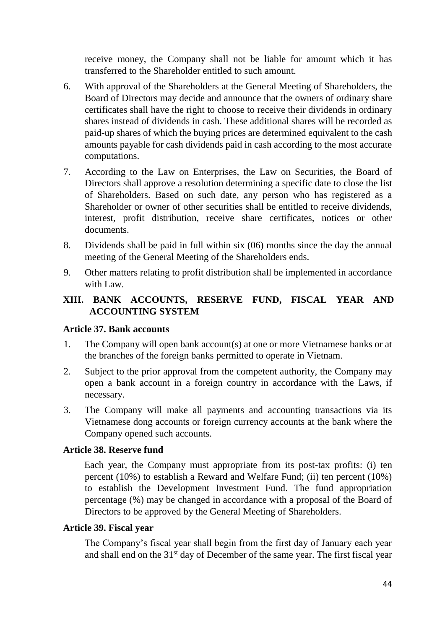receive money, the Company shall not be liable for amount which it has transferred to the Shareholder entitled to such amount.

- 6. With approval of the Shareholders at the General Meeting of Shareholders, the Board of Directors may decide and announce that the owners of ordinary share certificates shall have the right to choose to receive their dividends in ordinary shares instead of dividends in cash. These additional shares will be recorded as paid-up shares of which the buying prices are determined equivalent to the cash amounts payable for cash dividends paid in cash according to the most accurate computations.
- 7. According to the Law on Enterprises, the Law on Securities, the Board of Directors shall approve a resolution determining a specific date to close the list of Shareholders. Based on such date, any person who has registered as a Shareholder or owner of other securities shall be entitled to receive dividends, interest, profit distribution, receive share certificates, notices or other documents.
- 8. Dividends shall be paid in full within six (06) months since the day the annual meeting of the General Meeting of the Shareholders ends.
- 9. Other matters relating to profit distribution shall be implemented in accordance with Law.

## <span id="page-43-0"></span>**XIII. BANK ACCOUNTS, RESERVE FUND, FISCAL YEAR AND ACCOUNTING SYSTEM**

#### <span id="page-43-1"></span>**Article 37. Bank accounts**

- 1. The Company will open bank account(s) at one or more Vietnamese banks or at the branches of the foreign banks permitted to operate in Vietnam.
- 2. Subject to the prior approval from the competent authority, the Company may open a bank account in a foreign country in accordance with the Laws, if necessary.
- 3. The Company will make all payments and accounting transactions via its Vietnamese dong accounts or foreign currency accounts at the bank where the Company opened such accounts.

#### <span id="page-43-2"></span>**Article 38. Reserve fund**

Each year, the Company must appropriate from its post-tax profits: (i) ten percent (10%) to establish a Reward and Welfare Fund; (ii) ten percent (10%) to establish the Development Investment Fund. The fund appropriation percentage (%) may be changed in accordance with a proposal of the Board of Directors to be approved by the General Meeting of Shareholders.

#### <span id="page-43-3"></span>**Article 39. Fiscal year**

The Company's fiscal year shall begin from the first day of January each year and shall end on the 31<sup>st</sup> day of December of the same year. The first fiscal year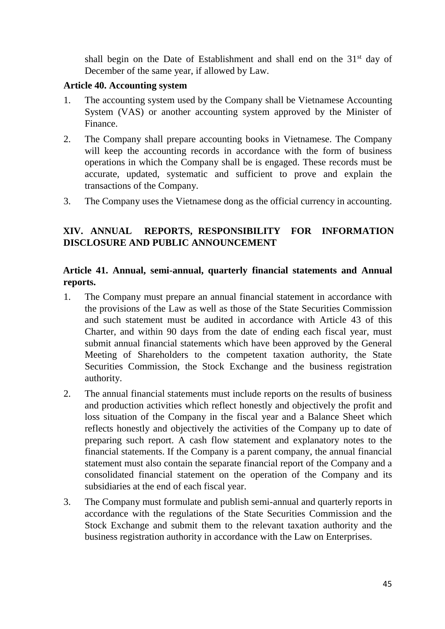shall begin on the Date of Establishment and shall end on the  $31<sup>st</sup>$  day of December of the same year, if allowed by Law.

#### <span id="page-44-0"></span>**Article 40. Accounting system**

- 1. The accounting system used by the Company shall be Vietnamese Accounting System (VAS) or another accounting system approved by the Minister of Finance.
- 2. The Company shall prepare accounting books in Vietnamese. The Company will keep the accounting records in accordance with the form of business operations in which the Company shall be is engaged. These records must be accurate, updated, systematic and sufficient to prove and explain the transactions of the Company.
- 3. The Company uses the Vietnamese dong as the official currency in accounting.

## <span id="page-44-1"></span>**XIV. ANNUAL REPORTS, RESPONSIBILITY FOR INFORMATION DISCLOSURE AND PUBLIC ANNOUNCEMENT**

#### <span id="page-44-2"></span>**Article 41. Annual, semi-annual, quarterly financial statements and Annual reports.**

- 1. The Company must prepare an annual financial statement in accordance with the provisions of the Law as well as those of the State Securities Commission and such statement must be audited in accordance with Article 43 of this Charter, and within 90 days from the date of ending each fiscal year, must submit annual financial statements which have been approved by the General Meeting of Shareholders to the competent taxation authority, the State Securities Commission, the Stock Exchange and the business registration authority.
- 2. The annual financial statements must include reports on the results of business and production activities which reflect honestly and objectively the profit and loss situation of the Company in the fiscal year and a Balance Sheet which reflects honestly and objectively the activities of the Company up to date of preparing such report. A cash flow statement and explanatory notes to the financial statements. If the Company is a parent company, the annual financial statement must also contain the separate financial report of the Company and a consolidated financial statement on the operation of the Company and its subsidiaries at the end of each fiscal year.
- 3. The Company must formulate and publish semi-annual and quarterly reports in accordance with the regulations of the State Securities Commission and the Stock Exchange and submit them to the relevant taxation authority and the business registration authority in accordance with the Law on Enterprises.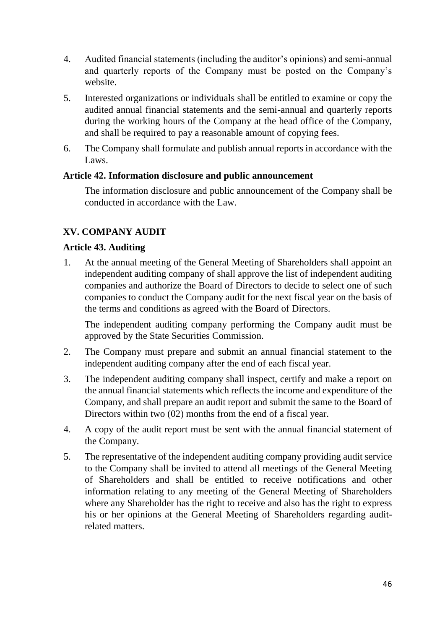- 4. Audited financial statements (including the auditor's opinions) and semi-annual and quarterly reports of the Company must be posted on the Company's website.
- 5. Interested organizations or individuals shall be entitled to examine or copy the audited annual financial statements and the semi-annual and quarterly reports during the working hours of the Company at the head office of the Company, and shall be required to pay a reasonable amount of copying fees.
- 6. The Company shall formulate and publish annual reports in accordance with the Laws.

#### <span id="page-45-0"></span>**Article 42. Information disclosure and public announcement**

The information disclosure and public announcement of the Company shall be conducted in accordance with the Law.

# <span id="page-45-1"></span>**XV. COMPANY AUDIT**

#### <span id="page-45-2"></span>**Article 43. Auditing**

1. At the annual meeting of the General Meeting of Shareholders shall appoint an independent auditing company of shall approve the list of independent auditing companies and authorize the Board of Directors to decide to select one of such companies to conduct the Company audit for the next fiscal year on the basis of the terms and conditions as agreed with the Board of Directors.

The independent auditing company performing the Company audit must be approved by the State Securities Commission.

- 2. The Company must prepare and submit an annual financial statement to the independent auditing company after the end of each fiscal year.
- 3. The independent auditing company shall inspect, certify and make a report on the annual financial statements which reflects the income and expenditure of the Company, and shall prepare an audit report and submit the same to the Board of Directors within two (02) months from the end of a fiscal year.
- 4. A copy of the audit report must be sent with the annual financial statement of the Company.
- 5. The representative of the independent auditing company providing audit service to the Company shall be invited to attend all meetings of the General Meeting of Shareholders and shall be entitled to receive notifications and other information relating to any meeting of the General Meeting of Shareholders where any Shareholder has the right to receive and also has the right to express his or her opinions at the General Meeting of Shareholders regarding auditrelated matters.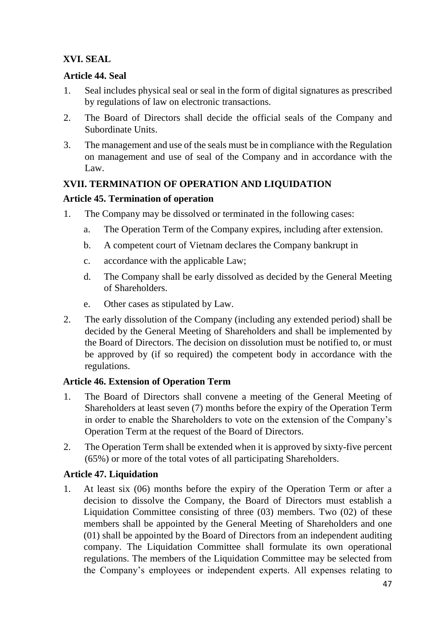# <span id="page-46-0"></span>**XVI. SEAL**

## <span id="page-46-1"></span>**Article 44. Seal**

- 1. Seal includes physical seal or seal in the form of digital signatures as prescribed by regulations of law on electronic transactions.
- 2. The Board of Directors shall decide the official seals of the Company and Subordinate Units.
- 3. The management and use of the seals must be in compliance with the Regulation on management and use of seal of the Company and in accordance with the Law.

# <span id="page-46-2"></span>**XVII. TERMINATION OF OPERATION AND LIQUIDATION**

## <span id="page-46-3"></span>**Article 45. Termination of operation**

- 1. The Company may be dissolved or terminated in the following cases:
	- a. The Operation Term of the Company expires, including after extension.
	- b. A competent court of Vietnam declares the Company bankrupt in
	- c. accordance with the applicable Law;
	- d. The Company shall be early dissolved as decided by the General Meeting of Shareholders.
	- e. Other cases as stipulated by Law.
- 2. The early dissolution of the Company (including any extended period) shall be decided by the General Meeting of Shareholders and shall be implemented by the Board of Directors. The decision on dissolution must be notified to, or must be approved by (if so required) the competent body in accordance with the regulations.

## <span id="page-46-4"></span>**Article 46. Extension of Operation Term**

- 1. The Board of Directors shall convene a meeting of the General Meeting of Shareholders at least seven (7) months before the expiry of the Operation Term in order to enable the Shareholders to vote on the extension of the Company's Operation Term at the request of the Board of Directors.
- 2. The Operation Term shall be extended when it is approved by sixty-five percent (65%) or more of the total votes of all participating Shareholders.

## <span id="page-46-5"></span>**Article 47. Liquidation**

1. At least six (06) months before the expiry of the Operation Term or after a decision to dissolve the Company, the Board of Directors must establish a Liquidation Committee consisting of three (03) members. Two (02) of these members shall be appointed by the General Meeting of Shareholders and one (01) shall be appointed by the Board of Directors from an independent auditing company. The Liquidation Committee shall formulate its own operational regulations. The members of the Liquidation Committee may be selected from the Company's employees or independent experts. All expenses relating to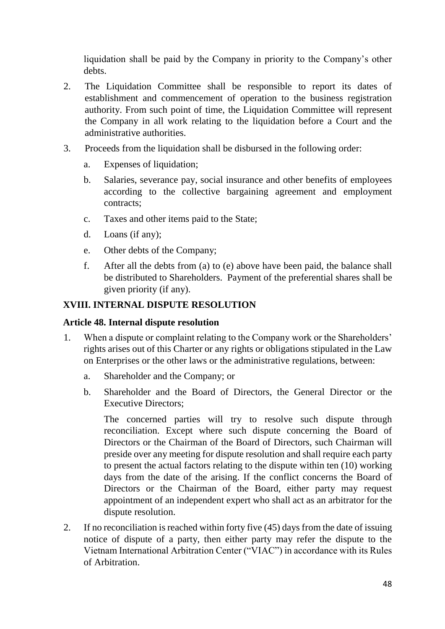liquidation shall be paid by the Company in priority to the Company's other debts.

- 2. The Liquidation Committee shall be responsible to report its dates of establishment and commencement of operation to the business registration authority. From such point of time, the Liquidation Committee will represent the Company in all work relating to the liquidation before a Court and the administrative authorities.
- 3. Proceeds from the liquidation shall be disbursed in the following order:
	- a. Expenses of liquidation;
	- b. Salaries, severance pay, social insurance and other benefits of employees according to the collective bargaining agreement and employment contracts;
	- c. Taxes and other items paid to the State;
	- d. Loans (if any);
	- e. Other debts of the Company;
	- f. After all the debts from (a) to (e) above have been paid, the balance shall be distributed to Shareholders. Payment of the preferential shares shall be given priority (if any).

## <span id="page-47-0"></span>**XVIII. INTERNAL DISPUTE RESOLUTION**

#### <span id="page-47-1"></span>**Article 48. Internal dispute resolution**

- 1. When a dispute or complaint relating to the Company work or the Shareholders' rights arises out of this Charter or any rights or obligations stipulated in the Law on Enterprises or the other laws or the administrative regulations, between:
	- a. Shareholder and the Company; or
	- b. Shareholder and the Board of Directors, the General Director or the Executive Directors;

The concerned parties will try to resolve such dispute through reconciliation. Except where such dispute concerning the Board of Directors or the Chairman of the Board of Directors, such Chairman will preside over any meeting for dispute resolution and shall require each party to present the actual factors relating to the dispute within ten (10) working days from the date of the arising. If the conflict concerns the Board of Directors or the Chairman of the Board, either party may request appointment of an independent expert who shall act as an arbitrator for the dispute resolution.

2. If no reconciliation is reached within forty five (45) days from the date of issuing notice of dispute of a party, then either party may refer the dispute to the Vietnam International Arbitration Center ("VIAC") in accordance with its Rules of Arbitration.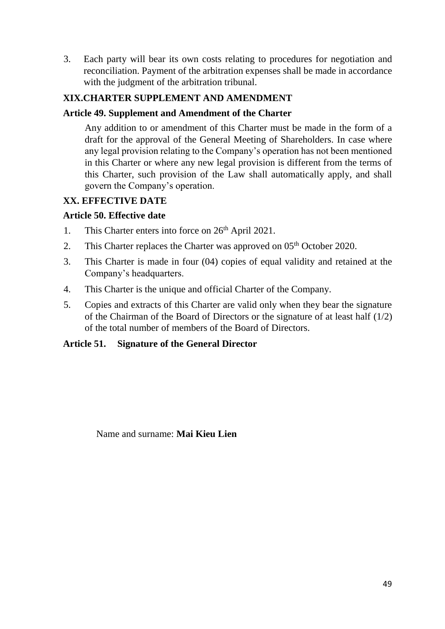3. Each party will bear its own costs relating to procedures for negotiation and reconciliation. Payment of the arbitration expenses shall be made in accordance with the judgment of the arbitration tribunal.

# <span id="page-48-0"></span>**XIX.CHARTER SUPPLEMENT AND AMENDMENT**

## <span id="page-48-1"></span>**Article 49. Supplement and Amendment of the Charter**

Any addition to or amendment of this Charter must be made in the form of a draft for the approval of the General Meeting of Shareholders. In case where any legal provision relating to the Company's operation has not been mentioned in this Charter or where any new legal provision is different from the terms of this Charter, such provision of the Law shall automatically apply, and shall govern the Company's operation.

## <span id="page-48-2"></span>**XX. EFFECTIVE DATE**

#### <span id="page-48-3"></span>**Article 50. Effective date**

- 1. This Charter enters into force on  $26<sup>th</sup>$  April 2021.
- 2. This Charter replaces the Charter was approved on  $05<sup>th</sup>$  October 2020.
- 3. This Charter is made in four (04) copies of equal validity and retained at the Company's headquarters.
- 4. This Charter is the unique and official Charter of the Company.
- 5. Copies and extracts of this Charter are valid only when they bear the signature of the Chairman of the Board of Directors or the signature of at least half (1/2) of the total number of members of the Board of Directors.

#### <span id="page-48-4"></span>**Article 51. Signature of the General Director**

Name and surname: **Mai Kieu Lien**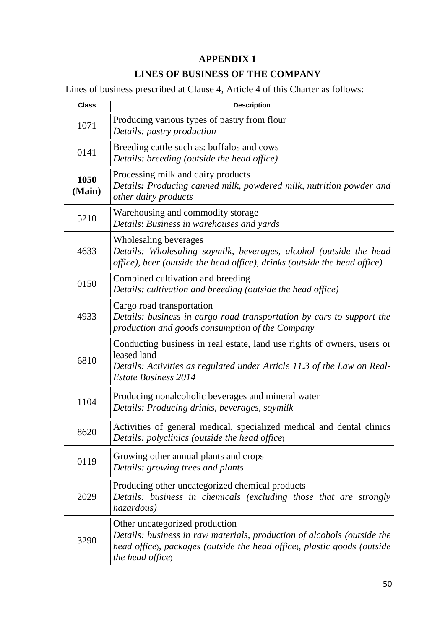# **APPENDIX 1**

# **LINES OF BUSINESS OF THE COMPANY**

<span id="page-49-1"></span><span id="page-49-0"></span>Lines of business prescribed at Clause 4, Article 4 of this Charter as follows:

| <b>Class</b>   | <b>Description</b>                                                                                                                                                                                                |
|----------------|-------------------------------------------------------------------------------------------------------------------------------------------------------------------------------------------------------------------|
| 1071           | Producing various types of pastry from flour<br>Details: pastry production                                                                                                                                        |
| 0141           | Breeding cattle such as: buffalos and cows<br>Details: breeding (outside the head office)                                                                                                                         |
| 1050<br>(Main) | Processing milk and dairy products<br>Details: Producing canned milk, powdered milk, nutrition powder and<br>other dairy products                                                                                 |
| 5210           | Warehousing and commodity storage<br>Details: Business in warehouses and yards                                                                                                                                    |
| 4633           | Wholesaling beverages<br>Details: Wholesaling soymilk, beverages, alcohol (outside the head<br>office), beer (outside the head office), drinks (outside the head office)                                          |
| 0150           | Combined cultivation and breeding<br>Details: cultivation and breeding (outside the head office)                                                                                                                  |
| 4933           | Cargo road transportation<br>Details: business in cargo road transportation by cars to support the<br>production and goods consumption of the Company                                                             |
| 6810           | Conducting business in real estate, land use rights of owners, users or<br>leased land<br>Details: Activities as regulated under Article 11.3 of the Law on Real-<br><b>Estate Business 2014</b>                  |
| 1104           | Producing nonalcoholic beverages and mineral water<br>Details: Producing drinks, beverages, soymilk                                                                                                               |
| 8620           | Activities of general medical, specialized medical and dental clinics<br>Details: polyclinics (outside the head office)                                                                                           |
| 0119           | Growing other annual plants and crops<br>Details: growing trees and plants                                                                                                                                        |
| 2029           | Producing other uncategorized chemical products<br>Details: business in chemicals (excluding those that are strongly<br>hazardous)                                                                                |
| 3290           | Other uncategorized production<br>Details: business in raw materials, production of alcohols (outside the<br>head office), packages (outside the head office), plastic goods (outside<br><i>the head office</i> ) |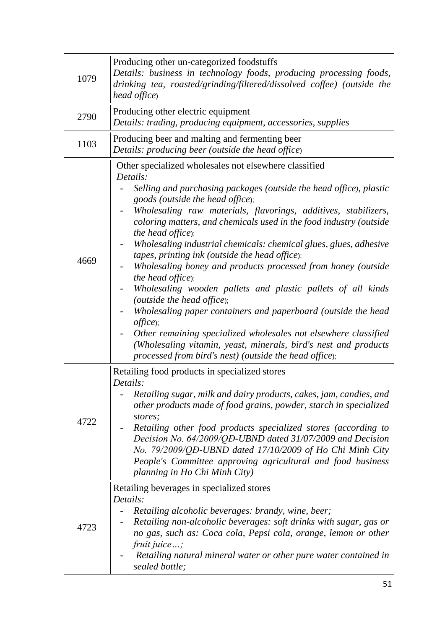| 1079 | Producing other un-categorized foodstuffs<br>Details: business in technology foods, producing processing foods,<br>drinking tea, roasted/grinding/filtered/dissolved coffee) (outside the<br>head office)                                                                                                                                                                                                                                                                                                                                                                                                                                                                                                                                                                                                                                                                                                                                 |
|------|-------------------------------------------------------------------------------------------------------------------------------------------------------------------------------------------------------------------------------------------------------------------------------------------------------------------------------------------------------------------------------------------------------------------------------------------------------------------------------------------------------------------------------------------------------------------------------------------------------------------------------------------------------------------------------------------------------------------------------------------------------------------------------------------------------------------------------------------------------------------------------------------------------------------------------------------|
| 2790 | Producing other electric equipment<br>Details: trading, producing equipment, accessories, supplies                                                                                                                                                                                                                                                                                                                                                                                                                                                                                                                                                                                                                                                                                                                                                                                                                                        |
| 1103 | Producing beer and malting and fermenting beer<br>Details: producing beer (outside the head office)                                                                                                                                                                                                                                                                                                                                                                                                                                                                                                                                                                                                                                                                                                                                                                                                                                       |
| 4669 | Other specialized wholesales not elsewhere classified<br>Details:<br>Selling and purchasing packages (outside the head office), plastic<br>goods (outside the head office);<br>Wholesaling raw materials, flavorings, additives, stabilizers,<br>coloring matters, and chemicals used in the food industry (outside<br>the head office);<br>Wholesaling industrial chemicals: chemical glues, glues, adhesive<br>tapes, printing ink (outside the head office);<br>Wholesaling honey and products processed from honey (outside<br><i>the head office</i> );<br>Wholesaling wooden pallets and plastic pallets of all kinds<br>(outside the head office);<br>Wholesaling paper containers and paperboard (outside the head<br>offsetice);<br>Other remaining specialized wholesales not elsewhere classified<br>(Wholesaling vitamin, yeast, minerals, bird's nest and products<br>processed from bird's nest) (outside the head office); |
| 4722 | Retailing food products in specialized stores<br>Details:<br>Retailing sugar, milk and dairy products, cakes, jam, candies, and<br>other products made of food grains, powder, starch in specialized<br>stores;<br>Retailing other food products specialized stores (according to<br>Decision No. 64/2009/QD-UBND dated 31/07/2009 and Decision<br>No. 79/2009/QĐ-UBND dated 17/10/2009 of Ho Chi Minh City<br>People's Committee approving agricultural and food business<br>planning in Ho Chi Minh City)                                                                                                                                                                                                                                                                                                                                                                                                                               |
| 4723 | Retailing beverages in specialized stores<br>Details:<br>Retailing alcoholic beverages: brandy, wine, beer;<br>Retailing non-alcoholic beverages: soft drinks with sugar, gas or<br>no gas, such as: Coca cola, Pepsi cola, orange, lemon or other<br>fruit juice;<br>Retailing natural mineral water or other pure water contained in<br>sealed bottle;                                                                                                                                                                                                                                                                                                                                                                                                                                                                                                                                                                                  |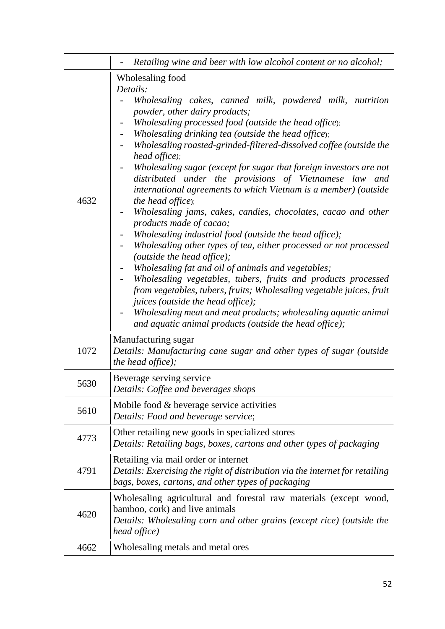|      | Retailing wine and beer with low alcohol content or no alcohol;                                                                                                                                                                                                                                                                                                                                                                                                                                                                                                                                                                                                                                                                                                                                                                                                                                                                                                                                                                                                                                                                                                                                          |
|------|----------------------------------------------------------------------------------------------------------------------------------------------------------------------------------------------------------------------------------------------------------------------------------------------------------------------------------------------------------------------------------------------------------------------------------------------------------------------------------------------------------------------------------------------------------------------------------------------------------------------------------------------------------------------------------------------------------------------------------------------------------------------------------------------------------------------------------------------------------------------------------------------------------------------------------------------------------------------------------------------------------------------------------------------------------------------------------------------------------------------------------------------------------------------------------------------------------|
| 4632 | Wholesaling food<br>Details:<br>Wholesaling cakes, canned milk, powdered milk, nutrition<br><i>powder, other dairy products;</i><br>Wholesaling processed food (outside the head office);<br>Wholesaling drinking tea (outside the head office);<br>Wholesaling roasted-grinded-filtered-dissolved coffee (outside the<br>head office);<br>Wholesaling sugar (except for sugar that foreign investors are not<br>distributed under the provisions of Vietnamese law and<br>international agreements to which Vietnam is a member) (outside<br>the head office);<br>Wholesaling jams, cakes, candies, chocolates, cacao and other<br>products made of cacao;<br>Wholesaling industrial food (outside the head office);<br>Wholesaling other types of tea, either processed or not processed<br>(outside the head office);<br>Wholesaling fat and oil of animals and vegetables;<br>Wholesaling vegetables, tubers, fruits and products processed<br>from vegetables, tubers, fruits; Wholesaling vegetable juices, fruit<br><i>juices</i> ( <i>outside the head office</i> );<br>Wholesaling meat and meat products; wholesaling aquatic animal<br>and aquatic animal products (outside the head office); |
| 1072 | Manufacturing sugar<br>Details: Manufacturing cane sugar and other types of sugar (outside<br>the head office);                                                                                                                                                                                                                                                                                                                                                                                                                                                                                                                                                                                                                                                                                                                                                                                                                                                                                                                                                                                                                                                                                          |
| 5630 | Beverage serving service<br>Details: Coffee and beverages shops                                                                                                                                                                                                                                                                                                                                                                                                                                                                                                                                                                                                                                                                                                                                                                                                                                                                                                                                                                                                                                                                                                                                          |
| 5610 | Mobile food & beverage service activities<br>Details: Food and beverage service;                                                                                                                                                                                                                                                                                                                                                                                                                                                                                                                                                                                                                                                                                                                                                                                                                                                                                                                                                                                                                                                                                                                         |
| 4773 | Other retailing new goods in specialized stores<br>Details: Retailing bags, boxes, cartons and other types of packaging                                                                                                                                                                                                                                                                                                                                                                                                                                                                                                                                                                                                                                                                                                                                                                                                                                                                                                                                                                                                                                                                                  |
| 4791 | Retailing via mail order or internet<br>Details: Exercising the right of distribution via the internet for retailing<br>bags, boxes, cartons, and other types of packaging                                                                                                                                                                                                                                                                                                                                                                                                                                                                                                                                                                                                                                                                                                                                                                                                                                                                                                                                                                                                                               |
| 4620 | Wholesaling agricultural and forestal raw materials (except wood,<br>bamboo, cork) and live animals<br>Details: Wholesaling corn and other grains (except rice) (outside the<br>head office)                                                                                                                                                                                                                                                                                                                                                                                                                                                                                                                                                                                                                                                                                                                                                                                                                                                                                                                                                                                                             |
| 4662 | Wholesaling metals and metal ores                                                                                                                                                                                                                                                                                                                                                                                                                                                                                                                                                                                                                                                                                                                                                                                                                                                                                                                                                                                                                                                                                                                                                                        |